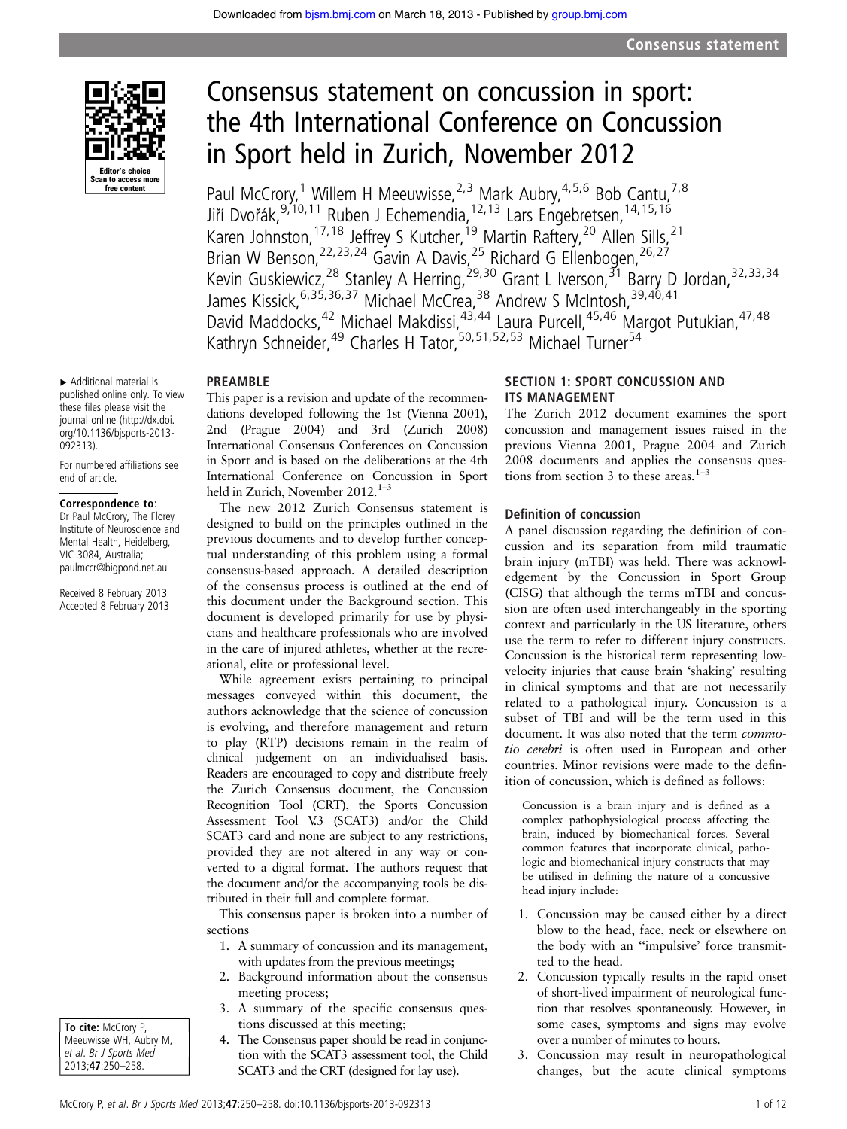

▸ Additional material is published online only. To view these files please visit the journal online [\(http://dx.doi.](http://dx.doi.org/10.1136/bjsports-2013-092313) [org/10.1136/bjsports-2013-](http://dx.doi.org/10.1136/bjsports-2013-092313) [092313](http://dx.doi.org/10.1136/bjsports-2013-092313)).

For numbered affiliations see end of article.

#### Correspondence to:

Dr Paul McCrory, The Florey Institute of Neuroscience and Mental Health, Heidelberg, VIC 3084, Australia; paulmccr@bigpond.net.au

Received 8 February 2013 Accepted 8 February 2013

To cite: McCrory P. Meeuwisse WH, Aubry M, et al. Br J Sports Med 2013;47:250–258.

# Consensus statement on concussion in sport: the 4th International Conference on Concussion in Sport held in Zurich, November 2012

Paul McCrory,<sup>1</sup> Willem H Meeuwisse,<sup>2,3</sup> Mark Aubry,<sup>4,5,6</sup> Bob Cantu,<sup>7,8</sup> Jiří Dvořák, <sup>9,10,11</sup> Ruben J Echemendia, <sup>12,13</sup> Lars Engebretsen, <sup>14,15,16</sup> Karen Johnston, <sup>17, 18</sup> Jeffrey S Kutcher, <sup>19</sup> Martin Raftery, <sup>20</sup> Allen Sills, <sup>21</sup> Brian W Benson, <sup>22, 23, 24</sup> Gavin A Davis, <sup>25</sup> Richard G Ellenbogen, <sup>26, 27</sup> Kevin Guskiewicz,<sup>28</sup> Stanley A Herring,<sup>29,30</sup> Grant L Iverson,<sup>31</sup> Barry D Jordan,<sup>32,33,34</sup> James Kissick, <sup>6,35,36,37</sup> Michael McCrea, <sup>38</sup> Andrew S McIntosh, <sup>39,40,41</sup> David Maddocks, <sup>42</sup> Michael Makdissi, <sup>43, 44</sup> Laura Purcell, <sup>45, 46</sup> Margot Putukian, <sup>47, 48</sup> Kathryn Schneider,<sup>49</sup> Charles H Tator,<sup>50,51,52,53</sup> Michael Turner<sup>54</sup>

### PREAMBLE

This paper is a revision and update of the recommendations developed following the 1st (Vienna 2001), 2nd (Prague 2004) and 3rd (Zurich 2008) International Consensus Conferences on Concussion in Sport and is based on the deliberations at the 4th International Conference on Concussion in Sport held in Zurich, November  $2012$ .<sup>1-3</sup>

The new 2012 Zurich Consensus statement is designed to build on the principles outlined in the previous documents and to develop further conceptual understanding of this problem using a formal consensus-based approach. A detailed description of the consensus process is outlined at the end of this document under the Background section. This document is developed primarily for use by physicians and healthcare professionals who are involved in the care of injured athletes, whether at the recreational, elite or professional level.

While agreement exists pertaining to principal messages conveyed within this document, the authors acknowledge that the science of concussion is evolving, and therefore management and return to play (RTP) decisions remain in the realm of clinical judgement on an individualised basis. Readers are encouraged to copy and distribute freely the Zurich Consensus document, the Concussion Recognition Tool (CRT), the Sports Concussion Assessment Tool V.3 (SCAT3) and/or the Child SCAT3 card and none are subject to any restrictions, provided they are not altered in any way or converted to a digital format. The authors request that the document and/or the accompanying tools be distributed in their full and complete format.

This consensus paper is broken into a number of sections

- 1. A summary of concussion and its management, with updates from the previous meetings;
- 2. Background information about the consensus meeting process;
- 3. A summary of the specific consensus questions discussed at this meeting;
- 4. The Consensus paper should be read in conjunction with the SCAT3 assessment tool, the Child SCAT3 and the CRT (designed for lay use).

### SECTION 1: SPORT CONCUSSION AND ITS MANAGEMENT

The Zurich 2012 document examines the sport concussion and management issues raised in the previous Vienna 2001, Prague 2004 and Zurich 2008 documents and applies the consensus questions from section 3 to these areas. $1-3$ 

### Definition of concussion

A panel discussion regarding the definition of concussion and its separation from mild traumatic brain injury (mTBI) was held. There was acknowledgement by the Concussion in Sport Group (CISG) that although the terms mTBI and concussion are often used interchangeably in the sporting context and particularly in the US literature, others use the term to refer to different injury constructs. Concussion is the historical term representing lowvelocity injuries that cause brain 'shaking' resulting in clinical symptoms and that are not necessarily related to a pathological injury. Concussion is a subset of TBI and will be the term used in this document. It was also noted that the term commotio cerebri is often used in European and other countries. Minor revisions were made to the definition of concussion, which is defined as follows:

Concussion is a brain injury and is defined as a complex pathophysiological process affecting the brain, induced by biomechanical forces. Several common features that incorporate clinical, pathologic and biomechanical injury constructs that may be utilised in defining the nature of a concussive head injury include:

- 1. Concussion may be caused either by a direct blow to the head, face, neck or elsewhere on the body with an ''impulsive' force transmitted to the head.
- 2. Concussion typically results in the rapid onset of short-lived impairment of neurological function that resolves spontaneously. However, in some cases, symptoms and signs may evolve over a number of minutes to hours.
- 3. Concussion may result in neuropathological changes, but the acute clinical symptoms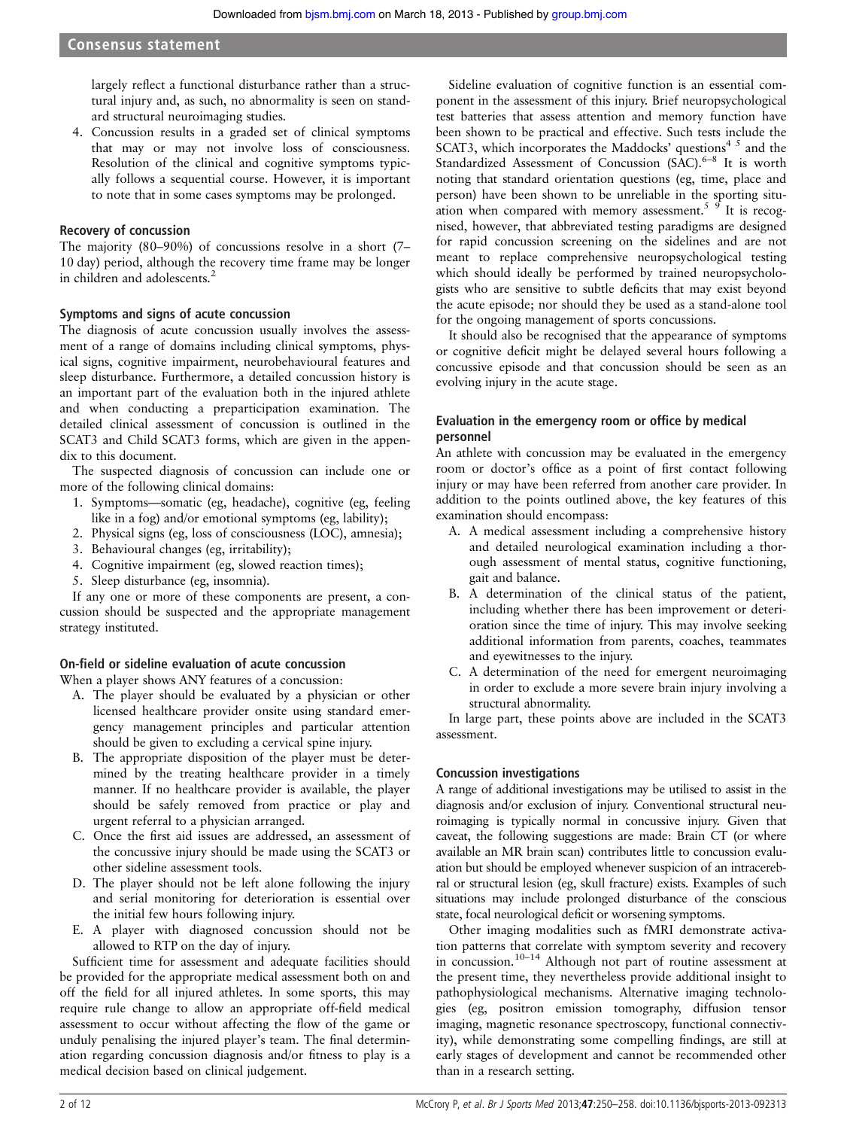largely reflect a functional disturbance rather than a structural injury and, as such, no abnormality is seen on standard structural neuroimaging studies.

4. Concussion results in a graded set of clinical symptoms that may or may not involve loss of consciousness. Resolution of the clinical and cognitive symptoms typically follows a sequential course. However, it is important to note that in some cases symptoms may be prolonged.

### Recovery of concussion

The majority (80–90%) of concussions resolve in a short (7– 10 day) period, although the recovery time frame may be longer in children and adolescents.<sup>2</sup>

### Symptoms and signs of acute concussion

The diagnosis of acute concussion usually involves the assessment of a range of domains including clinical symptoms, physical signs, cognitive impairment, neurobehavioural features and sleep disturbance. Furthermore, a detailed concussion history is an important part of the evaluation both in the injured athlete and when conducting a preparticipation examination. The detailed clinical assessment of concussion is outlined in the SCAT3 and Child SCAT3 forms, which are given in the appendix to this document.

The suspected diagnosis of concussion can include one or more of the following clinical domains:

- 1. Symptoms—somatic (eg, headache), cognitive (eg, feeling like in a fog) and/or emotional symptoms (eg, lability);
- 2. Physical signs (eg, loss of consciousness (LOC), amnesia);
- 3. Behavioural changes (eg, irritability);
- 4. Cognitive impairment (eg, slowed reaction times);
- 5. Sleep disturbance (eg, insomnia).

If any one or more of these components are present, a concussion should be suspected and the appropriate management strategy instituted.

### On-field or sideline evaluation of acute concussion

When a player shows ANY features of a concussion:

- A. The player should be evaluated by a physician or other licensed healthcare provider onsite using standard emergency management principles and particular attention should be given to excluding a cervical spine injury.
- B. The appropriate disposition of the player must be determined by the treating healthcare provider in a timely manner. If no healthcare provider is available, the player should be safely removed from practice or play and urgent referral to a physician arranged.
- C. Once the first aid issues are addressed, an assessment of the concussive injury should be made using the SCAT3 or other sideline assessment tools.
- D. The player should not be left alone following the injury and serial monitoring for deterioration is essential over the initial few hours following injury.
- E. A player with diagnosed concussion should not be allowed to RTP on the day of injury.

Sufficient time for assessment and adequate facilities should be provided for the appropriate medical assessment both on and off the field for all injured athletes. In some sports, this may require rule change to allow an appropriate off-field medical assessment to occur without affecting the flow of the game or unduly penalising the injured player's team. The final determination regarding concussion diagnosis and/or fitness to play is a medical decision based on clinical judgement.

Sideline evaluation of cognitive function is an essential component in the assessment of this injury. Brief neuropsychological test batteries that assess attention and memory function have been shown to be practical and effective. Such tests include the SCAT3, which incorporates the Maddocks' questions<sup>4  $5$ </sup> and the Standardized Assessment of Concussion  $(SAC)$ .<sup>6–8</sup> It is worth noting that standard orientation questions (eg, time, place and person) have been shown to be unreliable in the sporting situation when compared with memory assessment.<sup>5</sup>  $\frac{9}{9}$  It is recognised, however, that abbreviated testing paradigms are designed for rapid concussion screening on the sidelines and are not meant to replace comprehensive neuropsychological testing which should ideally be performed by trained neuropsychologists who are sensitive to subtle deficits that may exist beyond the acute episode; nor should they be used as a stand-alone tool for the ongoing management of sports concussions.

It should also be recognised that the appearance of symptoms or cognitive deficit might be delayed several hours following a concussive episode and that concussion should be seen as an evolving injury in the acute stage.

### Evaluation in the emergency room or office by medical personnel

An athlete with concussion may be evaluated in the emergency room or doctor's office as a point of first contact following injury or may have been referred from another care provider. In addition to the points outlined above, the key features of this examination should encompass:

- A. A medical assessment including a comprehensive history and detailed neurological examination including a thorough assessment of mental status, cognitive functioning, gait and balance.
- B. A determination of the clinical status of the patient, including whether there has been improvement or deterioration since the time of injury. This may involve seeking additional information from parents, coaches, teammates and eyewitnesses to the injury.
- C. A determination of the need for emergent neuroimaging in order to exclude a more severe brain injury involving a structural abnormality.

In large part, these points above are included in the SCAT3 assessment.

### Concussion investigations

A range of additional investigations may be utilised to assist in the diagnosis and/or exclusion of injury. Conventional structural neuroimaging is typically normal in concussive injury. Given that caveat, the following suggestions are made: Brain CT (or where available an MR brain scan) contributes little to concussion evaluation but should be employed whenever suspicion of an intracerebral or structural lesion (eg, skull fracture) exists. Examples of such situations may include prolonged disturbance of the conscious state, focal neurological deficit or worsening symptoms.

Other imaging modalities such as fMRI demonstrate activation patterns that correlate with symptom severity and recovery in concussion.10–<sup>14</sup> Although not part of routine assessment at the present time, they nevertheless provide additional insight to pathophysiological mechanisms. Alternative imaging technologies (eg, positron emission tomography, diffusion tensor imaging, magnetic resonance spectroscopy, functional connectivity), while demonstrating some compelling findings, are still at early stages of development and cannot be recommended other than in a research setting.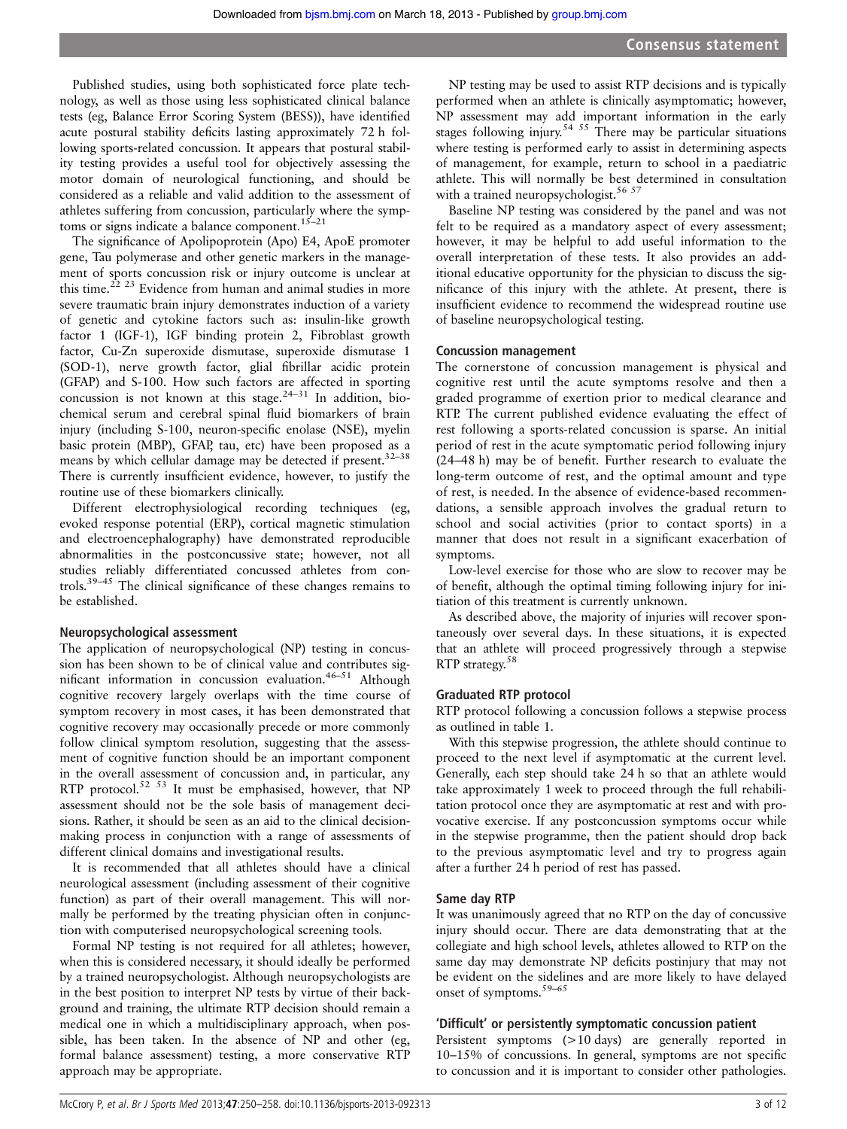Published studies, using both sophisticated force plate technology, as well as those using less sophisticated clinical balance tests (eg, Balance Error Scoring System (BESS)), have identified acute postural stability deficits lasting approximately 72 h following sports-related concussion. It appears that postural stability testing provides a useful tool for objectively assessing the motor domain of neurological functioning, and should be considered as a reliable and valid addition to the assessment of athletes suffering from concussion, particularly where the symptoms or signs indicate a balance component.<sup>15-21</sup>

The significance of Apolipoprotein (Apo) E4, ApoE promoter gene, Tau polymerase and other genetic markers in the management of sports concussion risk or injury outcome is unclear at this time.<sup>22 23</sup> Evidence from human and animal studies in more severe traumatic brain injury demonstrates induction of a variety of genetic and cytokine factors such as: insulin-like growth factor 1 (IGF-1), IGF binding protein 2, Fibroblast growth factor, Cu-Zn superoxide dismutase, superoxide dismutase 1 (SOD-1), nerve growth factor, glial fibrillar acidic protein (GFAP) and S-100. How such factors are affected in sporting concussion is not known at this stage.<sup>24–31</sup> In addition, biochemical serum and cerebral spinal fluid biomarkers of brain injury (including S-100, neuron-specific enolase (NSE), myelin basic protein (MBP), GFAP, tau, etc) have been proposed as a means by which cellular damage may be detected if present.<sup>32-38</sup> There is currently insufficient evidence, however, to justify the routine use of these biomarkers clinically.

Different electrophysiological recording techniques (eg, evoked response potential (ERP), cortical magnetic stimulation and electroencephalography) have demonstrated reproducible abnormalities in the postconcussive state; however, not all studies reliably differentiated concussed athletes from controls.39–<sup>45</sup> The clinical significance of these changes remains to be established.

#### Neuropsychological assessment

The application of neuropsychological (NP) testing in concussion has been shown to be of clinical value and contributes significant information in concussion evaluation.46–<sup>51</sup> Although cognitive recovery largely overlaps with the time course of symptom recovery in most cases, it has been demonstrated that cognitive recovery may occasionally precede or more commonly follow clinical symptom resolution, suggesting that the assessment of cognitive function should be an important component in the overall assessment of concussion and, in particular, any RTP protocol.<sup>52 53</sup> It must be emphasised, however, that NP assessment should not be the sole basis of management decisions. Rather, it should be seen as an aid to the clinical decisionmaking process in conjunction with a range of assessments of different clinical domains and investigational results.

It is recommended that all athletes should have a clinical neurological assessment (including assessment of their cognitive function) as part of their overall management. This will normally be performed by the treating physician often in conjunction with computerised neuropsychological screening tools.

Formal NP testing is not required for all athletes; however, when this is considered necessary, it should ideally be performed by a trained neuropsychologist. Although neuropsychologists are in the best position to interpret NP tests by virtue of their background and training, the ultimate RTP decision should remain a medical one in which a multidisciplinary approach, when possible, has been taken. In the absence of NP and other (eg, formal balance assessment) testing, a more conservative RTP approach may be appropriate.

NP testing may be used to assist RTP decisions and is typically performed when an athlete is clinically asymptomatic; however, NP assessment may add important information in the early stages following injury.<sup>54 55</sup> There may be particular situations where testing is performed early to assist in determining aspects of management, for example, return to school in a paediatric athlete. This will normally be best determined in consultation with a trained neuropsychologist.<sup>56 57</sup>

Baseline NP testing was considered by the panel and was not felt to be required as a mandatory aspect of every assessment; however, it may be helpful to add useful information to the overall interpretation of these tests. It also provides an additional educative opportunity for the physician to discuss the significance of this injury with the athlete. At present, there is insufficient evidence to recommend the widespread routine use of baseline neuropsychological testing.

### Concussion management

The cornerstone of concussion management is physical and cognitive rest until the acute symptoms resolve and then a graded programme of exertion prior to medical clearance and RTP. The current published evidence evaluating the effect of rest following a sports-related concussion is sparse. An initial period of rest in the acute symptomatic period following injury (24–48 h) may be of benefit. Further research to evaluate the long-term outcome of rest, and the optimal amount and type of rest, is needed. In the absence of evidence-based recommendations, a sensible approach involves the gradual return to school and social activities ( prior to contact sports) in a manner that does not result in a significant exacerbation of symptoms.

Low-level exercise for those who are slow to recover may be of benefit, although the optimal timing following injury for initiation of this treatment is currently unknown.

As described above, the majority of injuries will recover spontaneously over several days. In these situations, it is expected that an athlete will proceed progressively through a stepwise RTP strategy.<sup>58</sup>

### Graduated RTP protocol

RTP protocol following a concussion follows a stepwise process as outlined in table 1.

With this stepwise progression, the athlete should continue to proceed to the next level if asymptomatic at the current level. Generally, each step should take 24 h so that an athlete would take approximately 1 week to proceed through the full rehabilitation protocol once they are asymptomatic at rest and with provocative exercise. If any postconcussion symptoms occur while in the stepwise programme, then the patient should drop back to the previous asymptomatic level and try to progress again after a further 24 h period of rest has passed.

#### Same day RTP

It was unanimously agreed that no RTP on the day of concussive injury should occur. There are data demonstrating that at the collegiate and high school levels, athletes allowed to RTP on the same day may demonstrate NP deficits postinjury that may not be evident on the sidelines and are more likely to have delayed onset of symptoms.59–<sup>65</sup>

### 'Difficult' or persistently symptomatic concussion patient

Persistent symptoms (>10 days) are generally reported in 10–15% of concussions. In general, symptoms are not specific to concussion and it is important to consider other pathologies.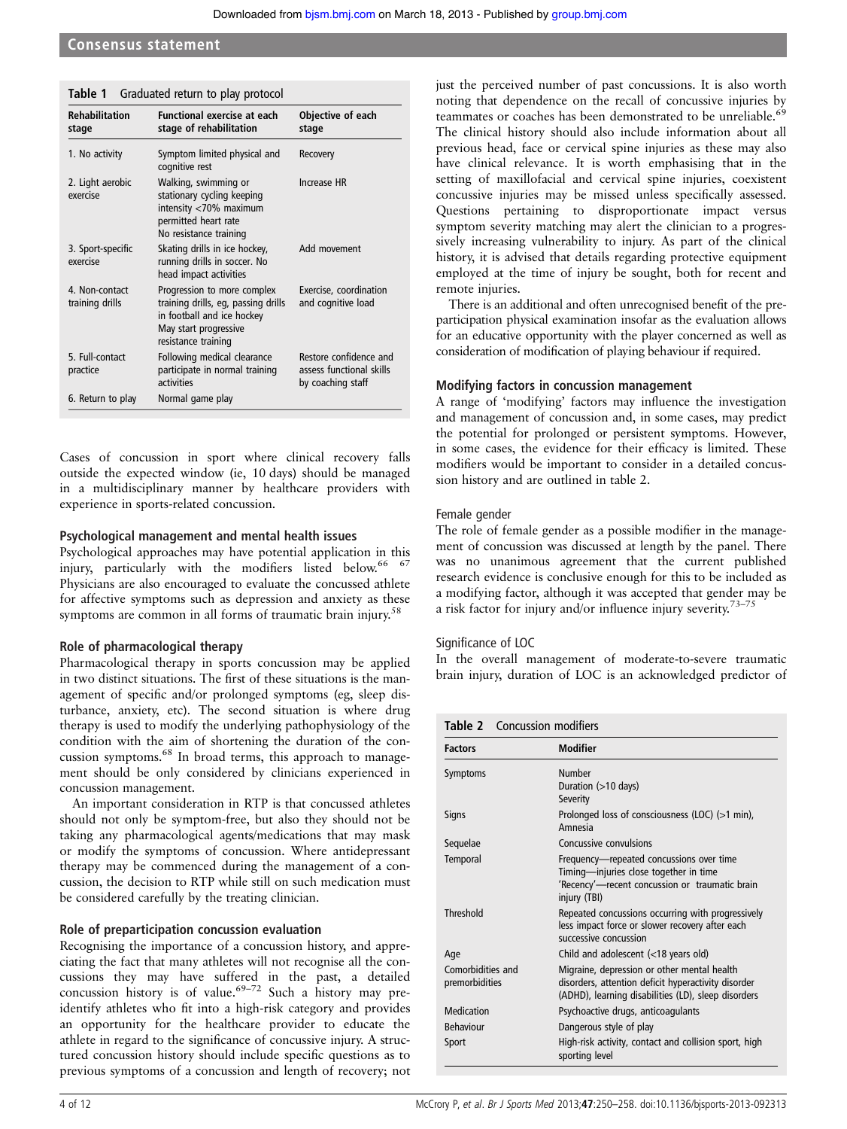| Table 1 | Graduated return to play protocol |  |  |  |  |  |
|---------|-----------------------------------|--|--|--|--|--|
|---------|-----------------------------------|--|--|--|--|--|

| <b>Rehabilitation</b><br>stage    | <b>Functional exercise at each</b><br>stage of rehabilitation                                                                                    | Objective of each<br>stage                                              |
|-----------------------------------|--------------------------------------------------------------------------------------------------------------------------------------------------|-------------------------------------------------------------------------|
| 1. No activity                    | Symptom limited physical and<br>cognitive rest                                                                                                   | Recovery                                                                |
| 2. Light aerobic<br>exercise      | Walking, swimming or<br>stationary cycling keeping<br>intensity <70% maximum<br>permitted heart rate<br>No resistance training                   | Increase HR                                                             |
| 3. Sport-specific<br>exercise     | Skating drills in ice hockey,<br>running drills in soccer. No<br>head impact activities                                                          | Add movement                                                            |
| 4. Non-contact<br>training drills | Progression to more complex<br>training drills, eg, passing drills<br>in football and ice hockey<br>May start progressive<br>resistance training | Exercise, coordination<br>and cognitive load                            |
| 5. Full-contact<br>practice       | Following medical clearance<br>participate in normal training<br>activities                                                                      | Restore confidence and<br>assess functional skills<br>by coaching staff |
| 6. Return to play                 | Normal game play                                                                                                                                 |                                                                         |

Cases of concussion in sport where clinical recovery falls outside the expected window (ie, 10 days) should be managed in a multidisciplinary manner by healthcare providers with experience in sports-related concussion.

#### Psychological management and mental health issues

Psychological approaches may have potential application in this injury, particularly with the modifiers listed below.<sup>66 67</sup> Physicians are also encouraged to evaluate the concussed athlete for affective symptoms such as depression and anxiety as these symptoms are common in all forms of traumatic brain injury.<sup>58</sup>

#### Role of pharmacological therapy

Pharmacological therapy in sports concussion may be applied in two distinct situations. The first of these situations is the management of specific and/or prolonged symptoms (eg, sleep disturbance, anxiety, etc). The second situation is where drug therapy is used to modify the underlying pathophysiology of the condition with the aim of shortening the duration of the concussion symptoms.<sup>68</sup> In broad terms, this approach to management should be only considered by clinicians experienced in concussion management.

An important consideration in RTP is that concussed athletes should not only be symptom-free, but also they should not be taking any pharmacological agents/medications that may mask or modify the symptoms of concussion. Where antidepressant therapy may be commenced during the management of a concussion, the decision to RTP while still on such medication must be considered carefully by the treating clinician.

#### Role of preparticipation concussion evaluation

Recognising the importance of a concussion history, and appreciating the fact that many athletes will not recognise all the concussions they may have suffered in the past, a detailed concussion history is of value.<sup>69-72</sup> Such a history may preidentify athletes who fit into a high-risk category and provides an opportunity for the healthcare provider to educate the athlete in regard to the significance of concussive injury. A structured concussion history should include specific questions as to previous symptoms of a concussion and length of recovery; not

just the perceived number of past concussions. It is also worth noting that dependence on the recall of concussive injuries by teammates or coaches has been demonstrated to be unreliable.<sup>69</sup> The clinical history should also include information about all previous head, face or cervical spine injuries as these may also have clinical relevance. It is worth emphasising that in the setting of maxillofacial and cervical spine injuries, coexistent concussive injuries may be missed unless specifically assessed. Questions pertaining to disproportionate impact versus symptom severity matching may alert the clinician to a progressively increasing vulnerability to injury. As part of the clinical history, it is advised that details regarding protective equipment employed at the time of injury be sought, both for recent and remote injuries.

There is an additional and often unrecognised benefit of the preparticipation physical examination insofar as the evaluation allows for an educative opportunity with the player concerned as well as consideration of modification of playing behaviour if required.

#### Modifying factors in concussion management

A range of 'modifying' factors may influence the investigation and management of concussion and, in some cases, may predict the potential for prolonged or persistent symptoms. However, in some cases, the evidence for their efficacy is limited. These modifiers would be important to consider in a detailed concussion history and are outlined in table 2.

#### Female gender

The role of female gender as a possible modifier in the management of concussion was discussed at length by the panel. There was no unanimous agreement that the current published research evidence is conclusive enough for this to be included as a modifying factor, although it was accepted that gender may be a risk factor for injury and/or influence injury severity.73–<sup>75</sup>

#### Significance of LOC

In the overall management of moderate-to-severe traumatic brain injury, duration of LOC is an acknowledged predictor of

| <b>Table 2</b> Concussion modifiers |                                                                                                                                                           |  |  |  |
|-------------------------------------|-----------------------------------------------------------------------------------------------------------------------------------------------------------|--|--|--|
| <b>Factors</b>                      | Modifier                                                                                                                                                  |  |  |  |
| Symptoms                            | Number<br>Duration (>10 days)<br>Severity                                                                                                                 |  |  |  |
| Signs                               | Prolonged loss of consciousness (LOC) (>1 min),<br>Amnesia                                                                                                |  |  |  |
| Sequelae                            | Concussive convulsions                                                                                                                                    |  |  |  |
| Temporal                            | Frequency-repeated concussions over time<br>Timing-injuries close together in time<br>'Recency'-recent concussion or traumatic brain<br>injury (TBI)      |  |  |  |
| Threshold                           | Repeated concussions occurring with progressively<br>less impact force or slower recovery after each<br>successive concussion                             |  |  |  |
| Age                                 | Child and adolescent $\left($ < 18 years old)                                                                                                             |  |  |  |
| Comorbidities and<br>premorbidities | Migraine, depression or other mental health<br>disorders, attention deficit hyperactivity disorder<br>(ADHD), learning disabilities (LD), sleep disorders |  |  |  |
| Medication                          | Psychoactive drugs, anticoagulants                                                                                                                        |  |  |  |
| Behaviour                           | Dangerous style of play                                                                                                                                   |  |  |  |
| Sport                               | High-risk activity, contact and collision sport, high<br>sporting level                                                                                   |  |  |  |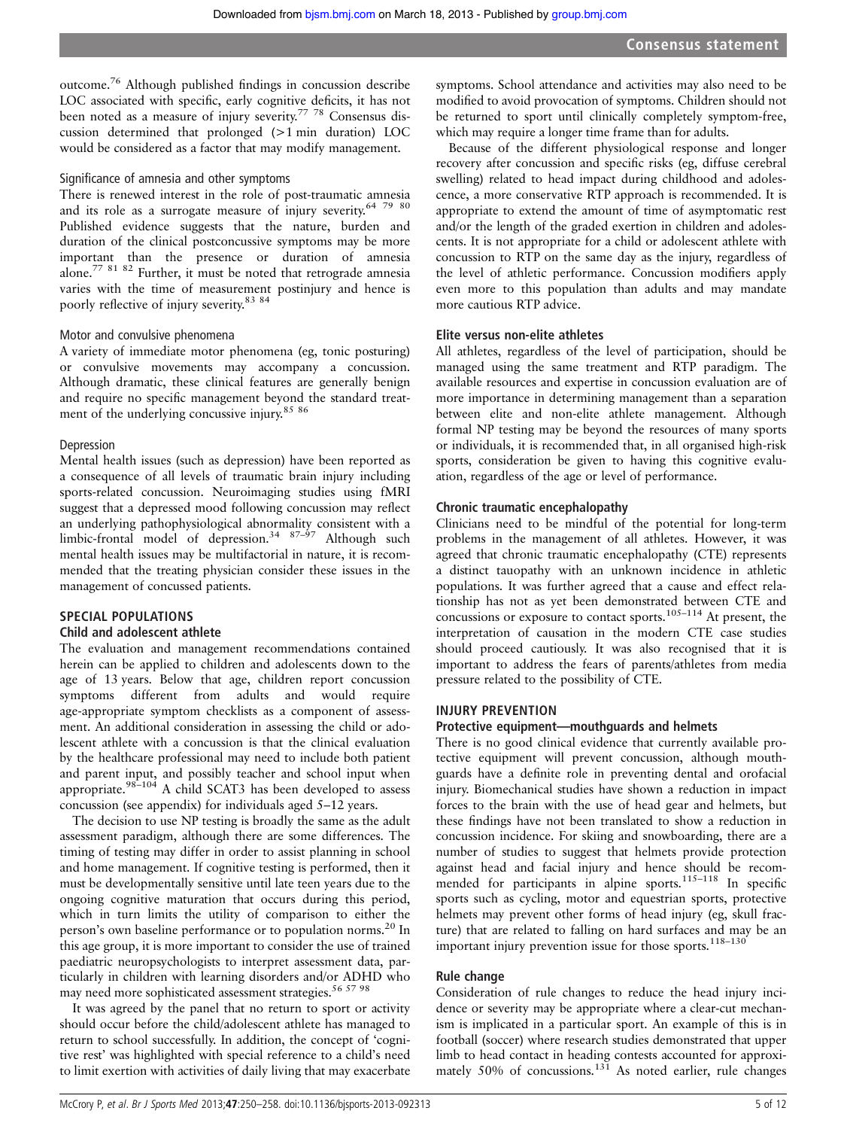outcome.<sup>76</sup> Although published findings in concussion describe LOC associated with specific, early cognitive deficits, it has not been noted as a measure of injury severity.<sup>77</sup> <sup>78</sup> Consensus discussion determined that prolonged (>1 min duration) LOC would be considered as a factor that may modify management.

### Significance of amnesia and other symptoms

There is renewed interest in the role of post-traumatic amnesia and its role as a surrogate measure of injury severity.<sup>64</sup> 79 80 Published evidence suggests that the nature, burden and duration of the clinical postconcussive symptoms may be more important than the presence or duration of amnesia alone.77 81 82 Further, it must be noted that retrograde amnesia varies with the time of measurement postinjury and hence is poorly reflective of injury severity.83 84

### Motor and convulsive phenomena

A variety of immediate motor phenomena (eg, tonic posturing) or convulsive movements may accompany a concussion. Although dramatic, these clinical features are generally benign and require no specific management beyond the standard treatment of the underlying concussive injury.<sup>85 86</sup>

### Depression

Mental health issues (such as depression) have been reported as a consequence of all levels of traumatic brain injury including sports-related concussion. Neuroimaging studies using fMRI suggest that a depressed mood following concussion may reflect an underlying pathophysiological abnormality consistent with a limbic-frontal model of depression.<sup>34</sup>  $87-97$  Although such mental health issues may be multifactorial in nature, it is recommended that the treating physician consider these issues in the management of concussed patients.

### SPECIAL POPULATIONS

### Child and adolescent athlete

The evaluation and management recommendations contained herein can be applied to children and adolescents down to the age of 13 years. Below that age, children report concussion symptoms different from adults and would require age-appropriate symptom checklists as a component of assessment. An additional consideration in assessing the child or adolescent athlete with a concussion is that the clinical evaluation by the healthcare professional may need to include both patient and parent input, and possibly teacher and school input when appropriate.<sup>98-104</sup> A child SCAT3 has been developed to assess concussion (see appendix) for individuals aged 5–12 years.

The decision to use NP testing is broadly the same as the adult assessment paradigm, although there are some differences. The timing of testing may differ in order to assist planning in school and home management. If cognitive testing is performed, then it must be developmentally sensitive until late teen years due to the ongoing cognitive maturation that occurs during this period, which in turn limits the utility of comparison to either the person's own baseline performance or to population norms.<sup>20</sup> In this age group, it is more important to consider the use of trained paediatric neuropsychologists to interpret assessment data, particularly in children with learning disorders and/or ADHD who may need more sophisticated assessment strategies.<sup>56 57 98</sup>

It was agreed by the panel that no return to sport or activity should occur before the child/adolescent athlete has managed to return to school successfully. In addition, the concept of 'cognitive rest' was highlighted with special reference to a child's need to limit exertion with activities of daily living that may exacerbate

symptoms. School attendance and activities may also need to be modified to avoid provocation of symptoms. Children should not be returned to sport until clinically completely symptom-free, which may require a longer time frame than for adults.

Because of the different physiological response and longer recovery after concussion and specific risks (eg, diffuse cerebral swelling) related to head impact during childhood and adolescence, a more conservative RTP approach is recommended. It is appropriate to extend the amount of time of asymptomatic rest and/or the length of the graded exertion in children and adolescents. It is not appropriate for a child or adolescent athlete with concussion to RTP on the same day as the injury, regardless of the level of athletic performance. Concussion modifiers apply even more to this population than adults and may mandate more cautious RTP advice.

### Elite versus non-elite athletes

All athletes, regardless of the level of participation, should be managed using the same treatment and RTP paradigm. The available resources and expertise in concussion evaluation are of more importance in determining management than a separation between elite and non-elite athlete management. Although formal NP testing may be beyond the resources of many sports or individuals, it is recommended that, in all organised high-risk sports, consideration be given to having this cognitive evaluation, regardless of the age or level of performance.

### Chronic traumatic encephalopathy

Clinicians need to be mindful of the potential for long-term problems in the management of all athletes. However, it was agreed that chronic traumatic encephalopathy (CTE) represents a distinct tauopathy with an unknown incidence in athletic populations. It was further agreed that a cause and effect relationship has not as yet been demonstrated between CTE and concussions or exposure to contact sports.<sup>105–114</sup> At present, the interpretation of causation in the modern CTE case studies should proceed cautiously. It was also recognised that it is important to address the fears of parents/athletes from media pressure related to the possibility of CTE.

### INJURY PREVENTION

### Protective equipment—mouthguards and helmets

There is no good clinical evidence that currently available protective equipment will prevent concussion, although mouthguards have a definite role in preventing dental and orofacial injury. Biomechanical studies have shown a reduction in impact forces to the brain with the use of head gear and helmets, but these findings have not been translated to show a reduction in concussion incidence. For skiing and snowboarding, there are a number of studies to suggest that helmets provide protection against head and facial injury and hence should be recommended for participants in alpine sports. $115-118$  In specific sports such as cycling, motor and equestrian sports, protective helmets may prevent other forms of head injury (eg, skull fracture) that are related to falling on hard surfaces and may be an important injury prevention issue for those sports. $118-130$ 

### Rule change

Consideration of rule changes to reduce the head injury incidence or severity may be appropriate where a clear-cut mechanism is implicated in a particular sport. An example of this is in football (soccer) where research studies demonstrated that upper limb to head contact in heading contests accounted for approximately 50% of concussions.<sup>131</sup> As noted earlier, rule changes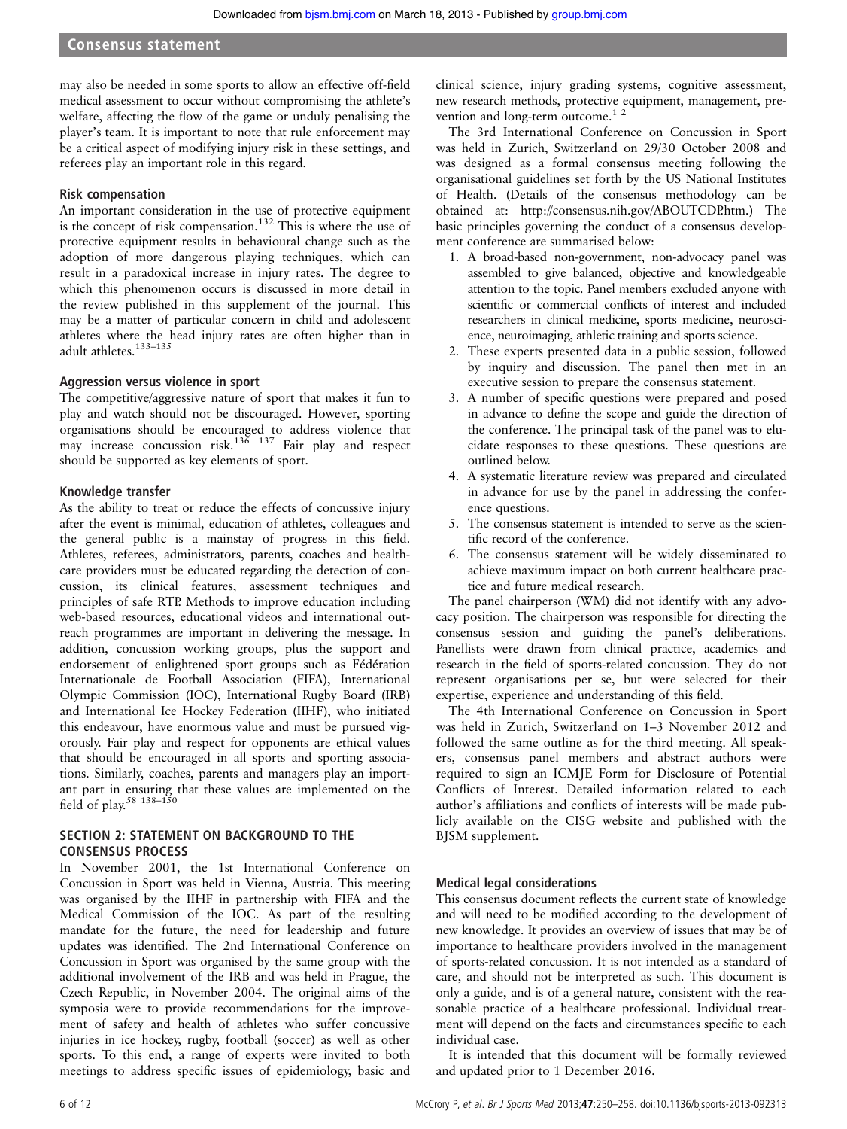may also be needed in some sports to allow an effective off-field medical assessment to occur without compromising the athlete's welfare, affecting the flow of the game or unduly penalising the player's team. It is important to note that rule enforcement may be a critical aspect of modifying injury risk in these settings, and referees play an important role in this regard.

### Risk compensation

An important consideration in the use of protective equipment is the concept of risk compensation.<sup>132</sup> This is where the use of protective equipment results in behavioural change such as the adoption of more dangerous playing techniques, which can result in a paradoxical increase in injury rates. The degree to which this phenomenon occurs is discussed in more detail in the review published in this supplement of the journal. This may be a matter of particular concern in child and adolescent athletes where the head injury rates are often higher than in adult athletes.<sup>133-135</sup>

### Aggression versus violence in sport

The competitive/aggressive nature of sport that makes it fun to play and watch should not be discouraged. However, sporting organisations should be encouraged to address violence that may increase concussion risk.<sup>136</sup> <sup>137</sup> Fair play and respect should be supported as key elements of sport.

### Knowledge transfer

As the ability to treat or reduce the effects of concussive injury after the event is minimal, education of athletes, colleagues and the general public is a mainstay of progress in this field. Athletes, referees, administrators, parents, coaches and healthcare providers must be educated regarding the detection of concussion, its clinical features, assessment techniques and principles of safe RTP. Methods to improve education including web-based resources, educational videos and international outreach programmes are important in delivering the message. In addition, concussion working groups, plus the support and endorsement of enlightened sport groups such as Fédération Internationale de Football Association (FIFA), International Olympic Commission (IOC), International Rugby Board (IRB) and International Ice Hockey Federation (IIHF), who initiated this endeavour, have enormous value and must be pursued vigorously. Fair play and respect for opponents are ethical values that should be encouraged in all sports and sporting associations. Similarly, coaches, parents and managers play an important part in ensuring that these values are implemented on the field of play.<sup>58 138-150</sup>

### SECTION 2: STATEMENT ON BACKGROUND TO THE CONSENSUS PROCESS

In November 2001, the 1st International Conference on Concussion in Sport was held in Vienna, Austria. This meeting was organised by the IIHF in partnership with FIFA and the Medical Commission of the IOC. As part of the resulting mandate for the future, the need for leadership and future updates was identified. The 2nd International Conference on Concussion in Sport was organised by the same group with the additional involvement of the IRB and was held in Prague, the Czech Republic, in November 2004. The original aims of the symposia were to provide recommendations for the improvement of safety and health of athletes who suffer concussive injuries in ice hockey, rugby, football (soccer) as well as other sports. To this end, a range of experts were invited to both meetings to address specific issues of epidemiology, basic and clinical science, injury grading systems, cognitive assessment, new research methods, protective equipment, management, prevention and long-term outcome.<sup>1</sup> <sup>2</sup>

The 3rd International Conference on Concussion in Sport was held in Zurich, Switzerland on 29/30 October 2008 and was designed as a formal consensus meeting following the organisational guidelines set forth by the US National Institutes of Health. (Details of the consensus methodology can be obtained at: [http://consensus.nih.gov/ABOUTCDP.htm.\)](http://consensus.nih.gov/ABOUTCDP.htm.) The basic principles governing the conduct of a consensus development conference are summarised below:

- 1. A broad-based non-government, non-advocacy panel was assembled to give balanced, objective and knowledgeable attention to the topic. Panel members excluded anyone with scientific or commercial conflicts of interest and included researchers in clinical medicine, sports medicine, neuroscience, neuroimaging, athletic training and sports science.
- 2. These experts presented data in a public session, followed by inquiry and discussion. The panel then met in an executive session to prepare the consensus statement.
- 3. A number of specific questions were prepared and posed in advance to define the scope and guide the direction of the conference. The principal task of the panel was to elucidate responses to these questions. These questions are outlined below.
- 4. A systematic literature review was prepared and circulated in advance for use by the panel in addressing the conference questions.
- 5. The consensus statement is intended to serve as the scientific record of the conference.
- 6. The consensus statement will be widely disseminated to achieve maximum impact on both current healthcare practice and future medical research.

The panel chairperson (WM) did not identify with any advocacy position. The chairperson was responsible for directing the consensus session and guiding the panel's deliberations. Panellists were drawn from clinical practice, academics and research in the field of sports-related concussion. They do not represent organisations per se, but were selected for their expertise, experience and understanding of this field.

The 4th International Conference on Concussion in Sport was held in Zurich, Switzerland on 1–3 November 2012 and followed the same outline as for the third meeting. All speakers, consensus panel members and abstract authors were required to sign an ICMJE Form for Disclosure of Potential Conflicts of Interest. Detailed information related to each author's affiliations and conflicts of interests will be made publicly available on the CISG website and published with the BJSM supplement.

### Medical legal considerations

This consensus document reflects the current state of knowledge and will need to be modified according to the development of new knowledge. It provides an overview of issues that may be of importance to healthcare providers involved in the management of sports-related concussion. It is not intended as a standard of care, and should not be interpreted as such. This document is only a guide, and is of a general nature, consistent with the reasonable practice of a healthcare professional. Individual treatment will depend on the facts and circumstances specific to each individual case.

It is intended that this document will be formally reviewed and updated prior to 1 December 2016.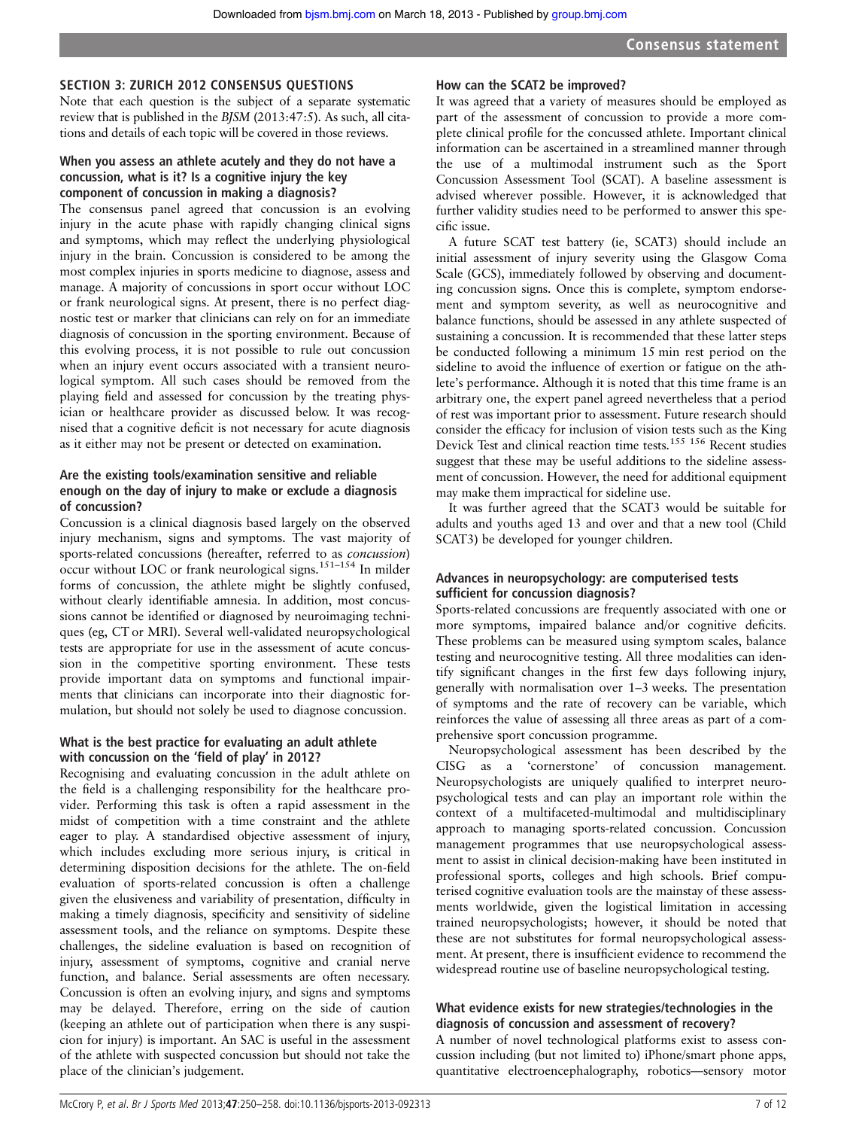### SECTION 3: ZURICH 2012 CONSENSUS QUESTIONS

Note that each question is the subject of a separate systematic review that is published in the BJSM (2013:47:5). As such, all citations and details of each topic will be covered in those reviews.

### When you assess an athlete acutely and they do not have a concussion, what is it? Is a cognitive injury the key component of concussion in making a diagnosis?

The consensus panel agreed that concussion is an evolving injury in the acute phase with rapidly changing clinical signs and symptoms, which may reflect the underlying physiological injury in the brain. Concussion is considered to be among the most complex injuries in sports medicine to diagnose, assess and manage. A majority of concussions in sport occur without LOC or frank neurological signs. At present, there is no perfect diagnostic test or marker that clinicians can rely on for an immediate diagnosis of concussion in the sporting environment. Because of this evolving process, it is not possible to rule out concussion when an injury event occurs associated with a transient neurological symptom. All such cases should be removed from the playing field and assessed for concussion by the treating physician or healthcare provider as discussed below. It was recognised that a cognitive deficit is not necessary for acute diagnosis as it either may not be present or detected on examination.

### Are the existing tools/examination sensitive and reliable enough on the day of injury to make or exclude a diagnosis of concussion?

Concussion is a clinical diagnosis based largely on the observed injury mechanism, signs and symptoms. The vast majority of sports-related concussions (hereafter, referred to as concussion) occur without LOC or frank neurological signs.<sup>151–154</sup> In milder forms of concussion, the athlete might be slightly confused, without clearly identifiable amnesia. In addition, most concussions cannot be identified or diagnosed by neuroimaging techniques (eg, CT or MRI). Several well-validated neuropsychological tests are appropriate for use in the assessment of acute concussion in the competitive sporting environment. These tests provide important data on symptoms and functional impairments that clinicians can incorporate into their diagnostic formulation, but should not solely be used to diagnose concussion.

### What is the best practice for evaluating an adult athlete with concussion on the 'field of play' in 2012?

Recognising and evaluating concussion in the adult athlete on the field is a challenging responsibility for the healthcare provider. Performing this task is often a rapid assessment in the midst of competition with a time constraint and the athlete eager to play. A standardised objective assessment of injury, which includes excluding more serious injury, is critical in determining disposition decisions for the athlete. The on-field evaluation of sports-related concussion is often a challenge given the elusiveness and variability of presentation, difficulty in making a timely diagnosis, specificity and sensitivity of sideline assessment tools, and the reliance on symptoms. Despite these challenges, the sideline evaluation is based on recognition of injury, assessment of symptoms, cognitive and cranial nerve function, and balance. Serial assessments are often necessary. Concussion is often an evolving injury, and signs and symptoms may be delayed. Therefore, erring on the side of caution (keeping an athlete out of participation when there is any suspicion for injury) is important. An SAC is useful in the assessment of the athlete with suspected concussion but should not take the place of the clinician's judgement.

### How can the SCAT2 be improved?

It was agreed that a variety of measures should be employed as part of the assessment of concussion to provide a more complete clinical profile for the concussed athlete. Important clinical information can be ascertained in a streamlined manner through the use of a multimodal instrument such as the Sport Concussion Assessment Tool (SCAT). A baseline assessment is advised wherever possible. However, it is acknowledged that further validity studies need to be performed to answer this specific issue.

A future SCAT test battery (ie, SCAT3) should include an initial assessment of injury severity using the Glasgow Coma Scale (GCS), immediately followed by observing and documenting concussion signs. Once this is complete, symptom endorsement and symptom severity, as well as neurocognitive and balance functions, should be assessed in any athlete suspected of sustaining a concussion. It is recommended that these latter steps be conducted following a minimum 15 min rest period on the sideline to avoid the influence of exertion or fatigue on the athlete's performance. Although it is noted that this time frame is an arbitrary one, the expert panel agreed nevertheless that a period of rest was important prior to assessment. Future research should consider the efficacy for inclusion of vision tests such as the King Devick Test and clinical reaction time tests.<sup>155</sup> 156 Recent studies suggest that these may be useful additions to the sideline assessment of concussion. However, the need for additional equipment may make them impractical for sideline use.

It was further agreed that the SCAT3 would be suitable for adults and youths aged 13 and over and that a new tool (Child SCAT3) be developed for younger children.

### Advances in neuropsychology: are computerised tests sufficient for concussion diagnosis?

Sports-related concussions are frequently associated with one or more symptoms, impaired balance and/or cognitive deficits. These problems can be measured using symptom scales, balance testing and neurocognitive testing. All three modalities can identify significant changes in the first few days following injury, generally with normalisation over 1–3 weeks. The presentation of symptoms and the rate of recovery can be variable, which reinforces the value of assessing all three areas as part of a comprehensive sport concussion programme.

Neuropsychological assessment has been described by the CISG as a 'cornerstone' of concussion management. Neuropsychologists are uniquely qualified to interpret neuropsychological tests and can play an important role within the context of a multifaceted-multimodal and multidisciplinary approach to managing sports-related concussion. Concussion management programmes that use neuropsychological assessment to assist in clinical decision-making have been instituted in professional sports, colleges and high schools. Brief computerised cognitive evaluation tools are the mainstay of these assessments worldwide, given the logistical limitation in accessing trained neuropsychologists; however, it should be noted that these are not substitutes for formal neuropsychological assessment. At present, there is insufficient evidence to recommend the widespread routine use of baseline neuropsychological testing.

### What evidence exists for new strategies/technologies in the diagnosis of concussion and assessment of recovery?

A number of novel technological platforms exist to assess concussion including (but not limited to) iPhone/smart phone apps, quantitative electroencephalography, robotics—sensory motor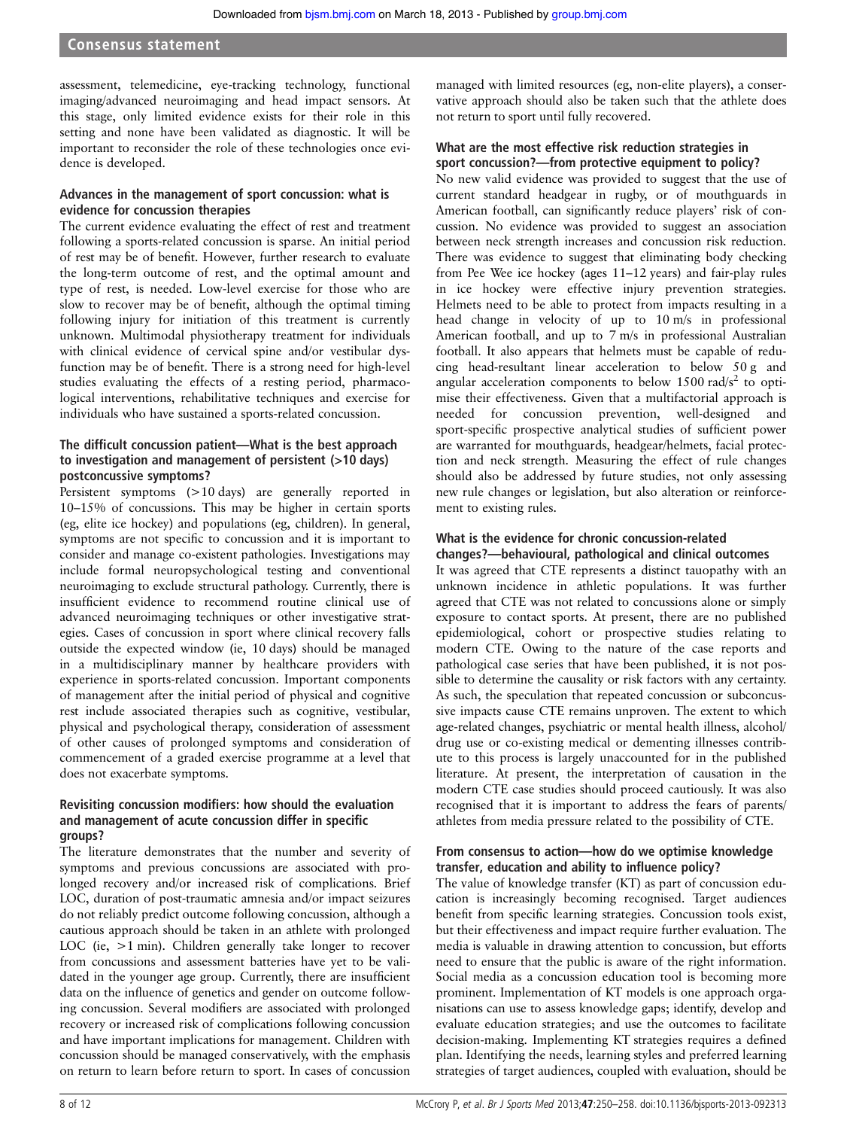assessment, telemedicine, eye-tracking technology, functional imaging/advanced neuroimaging and head impact sensors. At this stage, only limited evidence exists for their role in this setting and none have been validated as diagnostic. It will be important to reconsider the role of these technologies once evidence is developed.

### Advances in the management of sport concussion: what is evidence for concussion therapies

The current evidence evaluating the effect of rest and treatment following a sports-related concussion is sparse. An initial period of rest may be of benefit. However, further research to evaluate the long-term outcome of rest, and the optimal amount and type of rest, is needed. Low-level exercise for those who are slow to recover may be of benefit, although the optimal timing following injury for initiation of this treatment is currently unknown. Multimodal physiotherapy treatment for individuals with clinical evidence of cervical spine and/or vestibular dysfunction may be of benefit. There is a strong need for high-level studies evaluating the effects of a resting period, pharmacological interventions, rehabilitative techniques and exercise for individuals who have sustained a sports-related concussion.

### The difficult concussion patient—What is the best approach to investigation and management of persistent (>10 days) postconcussive symptoms?

Persistent symptoms (>10 days) are generally reported in 10–15% of concussions. This may be higher in certain sports (eg, elite ice hockey) and populations (eg, children). In general, symptoms are not specific to concussion and it is important to consider and manage co-existent pathologies. Investigations may include formal neuropsychological testing and conventional neuroimaging to exclude structural pathology. Currently, there is insufficient evidence to recommend routine clinical use of advanced neuroimaging techniques or other investigative strategies. Cases of concussion in sport where clinical recovery falls outside the expected window (ie, 10 days) should be managed in a multidisciplinary manner by healthcare providers with experience in sports-related concussion. Important components of management after the initial period of physical and cognitive rest include associated therapies such as cognitive, vestibular, physical and psychological therapy, consideration of assessment of other causes of prolonged symptoms and consideration of commencement of a graded exercise programme at a level that does not exacerbate symptoms.

### Revisiting concussion modifiers: how should the evaluation and management of acute concussion differ in specific groups?

The literature demonstrates that the number and severity of symptoms and previous concussions are associated with prolonged recovery and/or increased risk of complications. Brief LOC, duration of post-traumatic amnesia and/or impact seizures do not reliably predict outcome following concussion, although a cautious approach should be taken in an athlete with prolonged LOC (ie, >1 min). Children generally take longer to recover from concussions and assessment batteries have yet to be validated in the younger age group. Currently, there are insufficient data on the influence of genetics and gender on outcome following concussion. Several modifiers are associated with prolonged recovery or increased risk of complications following concussion and have important implications for management. Children with concussion should be managed conservatively, with the emphasis on return to learn before return to sport. In cases of concussion

managed with limited resources (eg, non-elite players), a conservative approach should also be taken such that the athlete does not return to sport until fully recovered.

### What are the most effective risk reduction strategies in sport concussion?—from protective equipment to policy?

No new valid evidence was provided to suggest that the use of current standard headgear in rugby, or of mouthguards in American football, can significantly reduce players' risk of concussion. No evidence was provided to suggest an association between neck strength increases and concussion risk reduction. There was evidence to suggest that eliminating body checking from Pee Wee ice hockey (ages 11–12 years) and fair-play rules in ice hockey were effective injury prevention strategies. Helmets need to be able to protect from impacts resulting in a head change in velocity of up to 10 m/s in professional American football, and up to 7 m/s in professional Australian football. It also appears that helmets must be capable of reducing head-resultant linear acceleration to below 50 g and angular acceleration components to below  $1500 \text{ rad/s}^2$  to optimise their effectiveness. Given that a multifactorial approach is needed for concussion prevention, well-designed and sport-specific prospective analytical studies of sufficient power are warranted for mouthguards, headgear/helmets, facial protection and neck strength. Measuring the effect of rule changes should also be addressed by future studies, not only assessing new rule changes or legislation, but also alteration or reinforcement to existing rules.

### What is the evidence for chronic concussion-related changes?—behavioural, pathological and clinical outcomes

It was agreed that CTE represents a distinct tauopathy with an unknown incidence in athletic populations. It was further agreed that CTE was not related to concussions alone or simply exposure to contact sports. At present, there are no published epidemiological, cohort or prospective studies relating to modern CTE. Owing to the nature of the case reports and pathological case series that have been published, it is not possible to determine the causality or risk factors with any certainty. As such, the speculation that repeated concussion or subconcussive impacts cause CTE remains unproven. The extent to which age-related changes, psychiatric or mental health illness, alcohol/ drug use or co-existing medical or dementing illnesses contribute to this process is largely unaccounted for in the published literature. At present, the interpretation of causation in the modern CTE case studies should proceed cautiously. It was also recognised that it is important to address the fears of parents/ athletes from media pressure related to the possibility of CTE.

### From consensus to action—how do we optimise knowledge transfer, education and ability to influence policy?

The value of knowledge transfer (KT) as part of concussion education is increasingly becoming recognised. Target audiences benefit from specific learning strategies. Concussion tools exist, but their effectiveness and impact require further evaluation. The media is valuable in drawing attention to concussion, but efforts need to ensure that the public is aware of the right information. Social media as a concussion education tool is becoming more prominent. Implementation of KT models is one approach organisations can use to assess knowledge gaps; identify, develop and evaluate education strategies; and use the outcomes to facilitate decision-making. Implementing KT strategies requires a defined plan. Identifying the needs, learning styles and preferred learning strategies of target audiences, coupled with evaluation, should be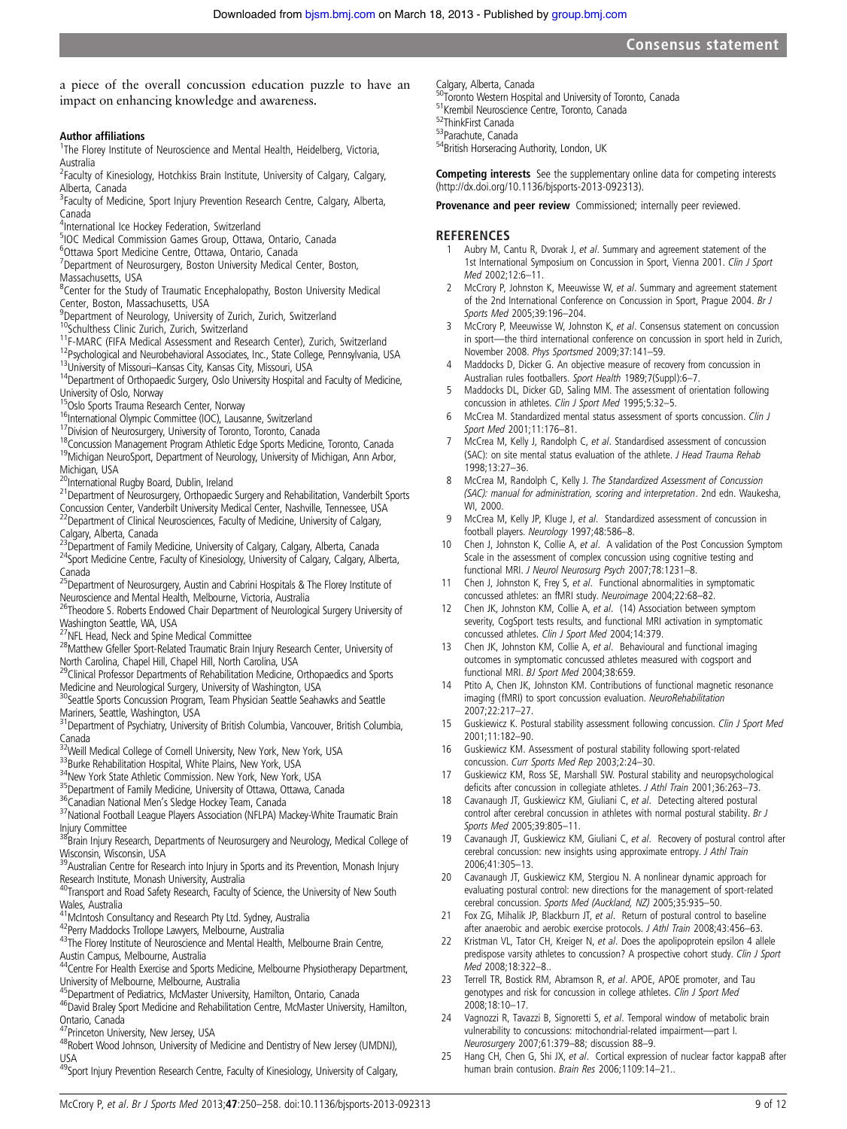a piece of the overall concussion education puzzle to have an impact on enhancing knowledge and awareness.

### Author affiliations <sup>1</sup>

<sup>1</sup>The Florey Institute of Neuroscience and Mental Health, Heidelberg, Victoria, Australia

<sup>2</sup> Faculty of Kinesiology, Hotchkiss Brain Institute, University of Calgary, Calgary, Alberta, Canada

<sup>3</sup> Faculty of Medicine, Sport Injury Prevention Research Centre, Calgary, Alberta, Canada

4 International Ice Hockey Federation, Switzerland

<sup>5</sup>IOC Medical Commission Games Group, Ottawa, Ontario, Canada

6 Ottawa Sport Medicine Centre, Ottawa, Ontario, Canada

<sup>7</sup> Department of Neurosurgery, Boston University Medical Center, Boston,

Massachusetts, USA

<sup>8</sup> Center for the Study of Traumatic Encephalopathy, Boston University Medical Center, Boston, Massachusetts, USA

<sup>9</sup>Department of Neurology, University of Zurich, Zurich, Switzerland

<sup>11</sup>F-MARC (FIFA Medical Assessment and Research Center), Zurich, Switzerland<br><sup>12</sup>Psychological and Neurobehavioral Associates, Inc., State College, Pennsylvania, USA<br><sup>13</sup>University of Missouri–Kansas City, Kansas City, M

University of Oslo, Norway<br><sup>15</sup>Oslo Sports Trauma Research Center, Norway

<sup>16</sup>International Olympic Committee (IOC), Lausanne, Switzerland<br><sup>17</sup> Division of Neurosurgery, University of Toronto, Toronto, Canada<br><sup>18</sup> Concussion Management Program Athletic Edge Sports Medicine, Toronto, Canada<br><sup>19</sup>

Michigan, USA<br><sup>20</sup>International Rugby Board, Dublin, Ireland

<sup>21</sup>Department of Neurosurgery, Orthopaedic Surgery and Rehabilitation, Vanderbilt Sports Concussion Center, Vanderbilt University Medical Center, Nashville, Tennessee, USA

<sup>22</sup> Department of Clinical Neurosciences, Faculty of Medicine, University of Calgary, Calgary, Alberta, Canada<br><sup>23</sup> Department of Family Medicine, University of Calgary, Calgary, Alberta, Canada

<sup>24</sup>Sport Medicine Centre, Faculty of Kinesiology, University of Calgary, Calgary, Alberta, Canada

<sup>25</sup>Department of Neurosurgery, Austin and Cabrini Hospitals & The Florey Institute of Neuroscience and Mental Health, Melbourne, Victoria, Australia

<sup>26</sup>Theodore S. Roberts Endowed Chair Department of Neurological Surgery University of Washington Seattle, WA, USA<br><sup>27</sup>NFL Head, Neck and Spine Medical Committee

<sup>28</sup>Matthew Gfeller Sport-Related Traumatic Brain Injury Research Center, University of North Carolina, Chapel Hill, Chapel Hill, North Carolina, USA

<sup>29</sup>Clinical Professor Departments of Rehabilitation Medicine, Orthopaedics and Sports Medicine and Neurological Surgery, University of Washington, USA

<sup>30</sup> Seattle Sports Concussion Program, Team Physician Seattle Seahawks and Seattle Mariners, Seattle, Washington, USA

<sup>31</sup> Department of Psychiatry, University of British Columbia, Vancouver, British Columbia,

Canada<br><sup>32</sup>Weill Medical College of Cornell University, New York, New York, USA

<sup>33</sup>Burke Rehabilitation Hospital, White Plains, New York, USA<br><sup>34</sup>New York State Athletic Commission. New York, New York, USA<br><sup>35</sup>Department of Family Medicine, University of Ottawa, Ottawa, Canada<br><sup>36</sup>Canadian National Injury Committee

<sup>38</sup>Brain Injury Research, Departments of Neurosurgery and Neurology, Medical College of Wisconsin, Wisconsin, USA

<sup>39</sup> Australian Centre for Research into Injury in Sports and its Prevention, Monash Injury

Research Institute, Monash University, Australia<br><sup>40</sup>Transport and Road Safety Research, Faculty of Science, the University of New South Wales, Australia<br><sup>41</sup> McIntosh Consultancy and Research Pty Ltd. Sydney, Australia

<sup>42</sup> Perry Maddocks Trollope Lawyers, Melbourne, Australia  $^{42}$  Perry Maddocks Trollope Lawyers, Melbourne, Australia 43The Florey Institute of Neuroscience and Mental Health, Melbourne Brain Centre,

Austin Campus, Melbourne, Australia<br><sup>44</sup>Centre For Health Exercise and Sports Medicine, Melbourne Physiotherapy Department,

University of Melbourne, Melbourne, Australia<br><sup>45</sup>Department of Pediatrics, McMaster University, Hamilton, Ontario, Canada

<sup>46</sup>David Braley Sport Medicine and Rehabilitation Centre, McMaster University, Hamilton,

Ontario, Canada<br><sup>47</sup> Princeton University, New Jersey, USA

48Robert Wood Johnson, University of Medicine and Dentistry of New Jersey (UMDNJ), USA

<sup>49</sup>Sport Injury Prevention Research Centre, Faculty of Kinesiology, University of Calgary,

- Calgary, Alberta, Canada<br><sup>50</sup>Toronto Western Hospital and University of Toronto, Canada<br><sup>51</sup>Krembil Neuroscience Centre, Toronto, Canada<br><sup>52</sup>ThinkFirst Canada<br><sup>53</sup>Parachute, Canada<br><sup>54</sup>British Horseracing Authority, London
- 

Competing interests See the supplementary online data for competing interests (http://dx.doi.org/10.1136/bjsports-2013-092313).

Provenance and peer review Commissioned: internally peer reviewed.

#### **REFERENCES**

- 1 Aubry M, Cantu R, Dvorak J, et al. Summary and agreement statement of the 1st International Symposium on Concussion in Sport, Vienna 2001. Clin J Sport Med 2002;12:6–11.
- 2 McCrory P, Johnston K, Meeuwisse W, et al. Summary and agreement statement of the 2nd International Conference on Concussion in Sport, Prague 2004. Br J Sports Med 2005;39:196–204.
- 3 McCrory P, Meeuwisse W, Johnston K, et al. Consensus statement on concussion in sport—the third international conference on concussion in sport held in Zurich, November 2008. Phys Sportsmed 2009;37:141–59.
- 4 Maddocks D, Dicker G. An objective measure of recovery from concussion in Australian rules footballers. Sport Health 1989;7(Suppl):6-7.
- 5 Maddocks DL, Dicker GD, Saling MM. The assessment of orientation following concussion in athletes. Clin J Sport Med 1995;5:32-5.
- 6 McCrea M. Standardized mental status assessment of sports concussion. Clin J Sport Med 2001;11:176-81.
- 7 McCrea M, Kelly J, Randolph C, et al. Standardised assessment of concussion (SAC): on site mental status evaluation of the athlete. J Head Trauma Rehab 1998;13:27–36.
- 8 McCrea M, Randolph C, Kelly J. The Standardized Assessment of Concussion (SAC): manual for administration, scoring and interpretation. 2nd edn. Waukesha, WI, 2000.
- 9 McCrea M, Kelly JP, Kluge J, et al. Standardized assessment of concussion in football players. Neurology 1997;48:586–8.
- 10 Chen J, Johnston K, Collie A, et al. A validation of the Post Concussion Symptom Scale in the assessment of complex concussion using cognitive testing and functional MRI. J Neurol Neurosurg Psych 2007;78:1231–8.
- 11 Chen J, Johnston K, Frey S, et al. Functional abnormalities in symptomatic concussed athletes: an fMRI study. Neuroimage 2004;22:68–82.
- 12 Chen JK, Johnston KM, Collie A, et al. (14) Association between symptom severity, CogSport tests results, and functional MRI activation in symptomatic concussed athletes. Clin J Sport Med 2004;14:379.
- 13 Chen JK, Johnston KM, Collie A, et al. Behavioural and functional imaging outcomes in symptomatic concussed athletes measured with cogsport and functional MRI. BJ Sport Med 2004;38:659.
- 14 Ptito A, Chen JK, Johnston KM. Contributions of functional magnetic resonance imaging (fMRI) to sport concussion evaluation. NeuroRehabilitation 2007;22:217–27.
- 15 Guskiewicz K. Postural stability assessment following concussion. Clin J Sport Med 2001;11:182–90.
- 16 Guskiewicz KM. Assessment of postural stability following sport-related concussion. Curr Sports Med Rep 2003;2:24–30.
- 17 Guskiewicz KM, Ross SE, Marshall SW. Postural stability and neuropsychological deficits after concussion in collegiate athletes. J Athl Train 2001;36:263–73.
- 18 Cavanaugh JT, Guskiewicz KM, Giuliani C, et al. Detecting altered postural control after cerebral concussion in athletes with normal postural stability. Br J Sports Med 2005;39:805–11.
- 19 Cavanaugh JT, Guskiewicz KM, Giuliani C, et al. Recovery of postural control after cerebral concussion: new insights using approximate entropy. J Athl Train 2006;41:305–13.
- 20 Cavanaugh JT, Guskiewicz KM, Stergiou N. A nonlinear dynamic approach for evaluating postural control: new directions for the management of sport-related cerebral concussion. Sports Med (Auckland, NZ) 2005;35:935–50.
- 21 Fox ZG, Mihalik JP, Blackburn JT, et al. Return of postural control to baseline after anaerobic and aerobic exercise protocols. J Athl Train 2008;43:456–63.
- 22 Kristman VL, Tator CH, Kreiger N, et al. Does the apolipoprotein epsilon 4 allele predispose varsity athletes to concussion? A prospective cohort study. Clin J Sport Med 2008;18:322–8..
- 23 Terrell TR, Bostick RM, Abramson R, et al. APOE, APOE promoter, and Tau genotypes and risk for concussion in college athletes. Clin J Sport Med 2008;18:10–17.
- 24 Vagnozzi R, Tavazzi B, Signoretti S, et al. Temporal window of metabolic brain vulnerability to concussions: mitochondrial-related impairment—part I. Neurosurgery 2007;61:379–88; discussion 88–9.
- 25 Hang CH, Chen G, Shi JX, et al. Cortical expression of nuclear factor kappaB after human brain contusion. Brain Res 2006;1109:14-21..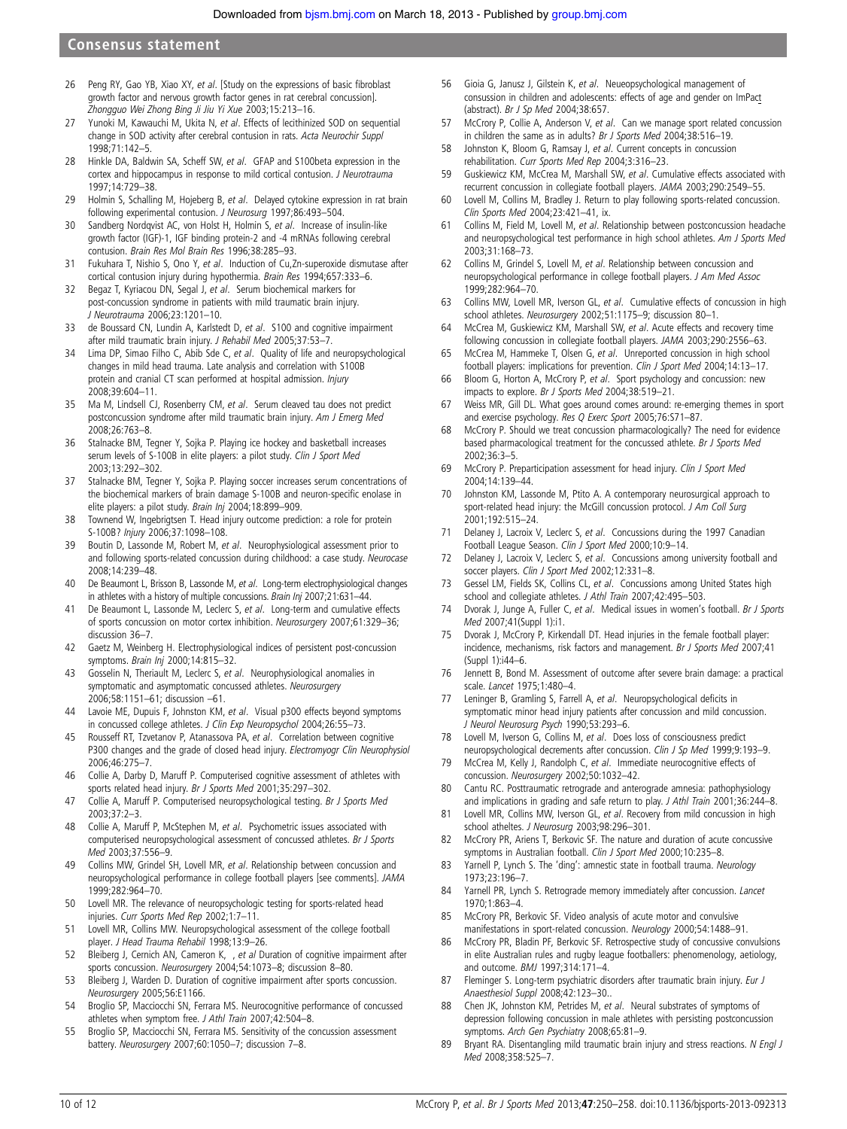- 26 Peng RY, Gao YB, Xiao XY, et al. [Study on the expressions of basic fibroblast growth factor and nervous growth factor genes in rat cerebral concussion]. Zhongguo Wei Zhong Bing Ji Jiu Yi Xue 2003;15:213–16.
- 27 Yunoki M, Kawauchi M, Ukita N, et al. Effects of lecithinized SOD on sequential change in SOD activity after cerebral contusion in rats. Acta Neurochir Suppl 1998;71:142–5.
- Hinkle DA, Baldwin SA, Scheff SW, et al. GFAP and S100beta expression in the cortex and hippocampus in response to mild cortical contusion. J Neurotrauma 1997;14:729–38.
- 29 Holmin S, Schalling M, Hojeberg B, et al. Delayed cytokine expression in rat brain following experimental contusion. J Neurosurg 1997;86:493–504.
- 30 Sandberg Nordqvist AC, von Holst H, Holmin S, et al. Increase of insulin-like growth factor (IGF)-1, IGF binding protein-2 and -4 mRNAs following cerebral contusion. Brain Res Mol Brain Res 1996;38:285–93.
- 31 Fukuhara T, Nishio S, Ono Y, et al. Induction of Cu,Zn-superoxide dismutase after cortical contusion injury during hypothermia. Brain Res 1994;657:333–6.
- 32 Begaz T, Kyriacou DN, Segal J, et al. Serum biochemical markers for post-concussion syndrome in patients with mild traumatic brain injury. J Neurotrauma 2006;23:1201–10.
- 33 de Boussard CN, Lundin A, Karlstedt D, et al. S100 and cognitive impairment after mild traumatic brain injury. J Rehabil Med 2005;37:53–7.
- Lima DP, Simao Filho C, Abib Sde C, et al. Quality of life and neuropsychological changes in mild head trauma. Late analysis and correlation with S100B protein and cranial CT scan performed at hospital admission. Injury 2008;39:604–11.
- 35 Ma M, Lindsell CJ, Rosenberry CM, et al. Serum cleaved tau does not predict postconcussion syndrome after mild traumatic brain injury. Am J Emerg Med 2008;26:763–8.
- 36 Stalnacke BM, Tegner Y, Sojka P. Playing ice hockey and basketball increases serum levels of S-100B in elite players: a pilot study. Clin J Sport Med 2003;13:292–302.
- 37 Stalnacke BM, Tegner Y, Sojka P. Playing soccer increases serum concentrations of the biochemical markers of brain damage S-100B and neuron-specific enolase in elite players: a pilot study. Brain Inj 2004;18:899–909.
- 38 Townend W, Ingebrigtsen T. Head injury outcome prediction: a role for protein S-100B? Injury 2006;37:1098–108.
- 39 Boutin D, Lassonde M, Robert M, et al. Neurophysiological assessment prior to and following sports-related concussion during childhood: a case study. Neurocase 2008;14:239–48.
- 40 De Beaumont L, Brisson B, Lassonde M, et al. Long-term electrophysiological changes in athletes with a history of multiple concussions. Brain Inj 2007;21:631-44.
- De Beaumont L, Lassonde M, Leclerc S, et al. Long-term and cumulative effects of sports concussion on motor cortex inhibition. Neurosurgery 2007;61:329–36; discussion 36–7.
- 42 Gaetz M, Weinberg H. Electrophysiological indices of persistent post-concussion symptoms. Brain Inj 2000;14:815-32.
- 43 Gosselin N, Theriault M, Leclerc S, et al. Neurophysiological anomalies in symptomatic and asymptomatic concussed athletes. Neurosurgery 2006;58:1151–61; discussion –61.
- 44 Lavoie ME, Dupuis F, Johnston KM, et al. Visual p300 effects beyond symptoms in concussed college athletes. J Clin Exp Neuropsychol 2004;26:55-73.
- 45 Rousseff RT, Tzvetanov P, Atanassova PA, et al. Correlation between cognitive P300 changes and the grade of closed head injury. Electromyogr Clin Neurophysiol 2006;46:275–7.
- 46 Collie A, Darby D, Maruff P. Computerised cognitive assessment of athletes with sports related head injury. Br J Sports Med 2001;35:297–302.
- 47 Collie A, Maruff P. Computerised neuropsychological testing. Br J Sports Med 2003;37:2–3.
- 48 Collie A, Maruff P, McStephen M, et al. Psychometric issues associated with computerised neuropsychological assessment of concussed athletes. Br J Sports Med 2003;37:556–9.
- 49 Collins MW, Grindel SH, Lovell MR, et al. Relationship between concussion and neuropsychological performance in college football players [see comments]. JAMA 1999;282:964–70.
- 50 Lovell MR. The relevance of neuropsychologic testing for sports-related head injuries. Curr Sports Med Rep 2002;1:7–11.
- 51 Lovell MR, Collins MW. Neuropsychological assessment of the college football player. J Head Trauma Rehabil 1998;13:9–26.
- 52 Bleiberg J, Cernich AN, Cameron K, , et al Duration of cognitive impairment after sports concussion. Neurosurgery 2004;54:1073–8; discussion 8–80.
- 53 Bleiberg J, Warden D. Duration of cognitive impairment after sports concussion. Neurosurgery 2005;56:E1166.
- 54 Broglio SP, Macciocchi SN, Ferrara MS. Neurocognitive performance of concussed athletes when symptom free. J Athl Train 2007;42:504–8.
- 55 Broglio SP, Macciocchi SN, Ferrara MS. Sensitivity of the concussion assessment battery. Neurosurgery 2007;60:1050–7; discussion 7–8.
- 56 Gioia G, Janusz J, Gilstein K, et al. Neueopsychological management of consussion in children and adolescents: effects of age and gender on ImPact (abstract). Br J Sp Med 2004;38:657.
- 57 McCrory P, Collie A, Anderson V, et al. Can we manage sport related concussion in children the same as in adults? Br J Sports Med 2004;38:516–19.
- 58 Johnston K, Bloom G, Ramsay J, et al. Current concepts in concussion rehabilitation. Curr Sports Med Rep 2004;3:316–23.
- 59 Guskiewicz KM, McCrea M, Marshall SW, et al. Cumulative effects associated with recurrent concussion in collegiate football players. JAMA 2003;290:2549–55.
- 60 Lovell M, Collins M, Bradley J. Return to play following sports-related concussion. Clin Sports Med 2004;23:421–41, ix.
- Collins M, Field M, Lovell M, et al. Relationship between postconcussion headache and neuropsychological test performance in high school athletes. Am J Sports Med 2003;31:168–73.
- 62 Collins M, Grindel S, Lovell M, et al. Relationship between concussion and neuropsychological performance in college football players. J Am Med Assoc 1999;282:964–70.
- 63 Collins MW, Lovell MR, Iverson GL, et al. Cumulative effects of concussion in high school athletes. Neurosurgery 2002;51:1175–9; discussion 80–1.
- 64 McCrea M, Guskiewicz KM, Marshall SW, et al. Acute effects and recovery time following concussion in collegiate football players. JAMA 2003;290:2556–63.
- 65 McCrea M, Hammeke T, Olsen G, et al. Unreported concussion in high school football players: implications for prevention. Clin J Sport Med 2004;14:13-17.
- 66 Bloom G, Horton A, McCrory P, et al. Sport psychology and concussion: new impacts to explore. Br J Sports Med 2004;38:519–21.
- 67 Weiss MR, Gill DL. What goes around comes around: re-emerging themes in sport and exercise psychology. Res Q Exerc Sport 2005;76:S71-87.
- 68 McCrory P. Should we treat concussion pharmacologically? The need for evidence based pharmacological treatment for the concussed athlete. Br J Sports Med 2002;36:3–5.
- 69 McCrory P. Preparticipation assessment for head injury. Clin J Sport Med 2004;14:139–44.
- 70 Johnston KM, Lassonde M, Ptito A. A contemporary neurosurgical approach to sport-related head injury: the McGill concussion protocol. J Am Coll Surg 2001;192:515–24.
- 71 Delaney J, Lacroix V, Leclerc S, et al. Concussions during the 1997 Canadian Football League Season. Clin J Sport Med 2000;10:9–14.
- 72 Delaney J, Lacroix V, Leclerc S, et al. Concussions among university football and soccer players. Clin J Sport Med 2002;12:331-8.
- 73 Gessel LM, Fields SK, Collins CL, et al. Concussions among United States high school and collegiate athletes. J Athl Train 2007;42:495–503.
- Dvorak J, Junge A, Fuller C, et al. Medical issues in women's football. Br J Sports Med 2007;41(Suppl 1):i1.
- 75 Dvorak J, McCrory P, Kirkendall DT. Head injuries in the female football player: incidence, mechanisms, risk factors and management. Br J Sports Med 2007;41 (Suppl 1):i44–6.
- 76 Jennett B, Bond M. Assessment of outcome after severe brain damage: a practical scale. Lancet 1975;1:480–4.
- 77 Leninger B, Gramling S, Farrell A, et al. Neuropsychological deficits in symptomatic minor head injury patients after concussion and mild concussion. J Neurol Neurosurg Psych 1990;53:293–6.
- 78 Lovell M, Iverson G, Collins M, et al. Does loss of consciousness predict neuropsychological decrements after concussion. Clin J Sp Med 1999;9:193-9.
- 79 McCrea M, Kelly J, Randolph C, et al. Immediate neurocognitive effects of concussion. Neurosurgery 2002;50:1032–42.
- 80 Cantu RC. Posttraumatic retrograde and anterograde amnesia: pathophysiology and implications in grading and safe return to play. J Athl Train 2001;36:244-8.
- 81 Lovell MR, Collins MW, Iverson GL, et al. Recovery from mild concussion in high school atheltes. J Neurosurg 2003;98:296–301.
- 82 McCrory PR, Ariens T, Berkovic SF. The nature and duration of acute concussive symptoms in Australian football. Clin J Sport Med 2000;10:235-8.
- 83 Yarnell P, Lynch S. The 'ding': amnestic state in football trauma. Neurology 1973;23:196–7.
- 84 Yarnell PR, Lynch S. Retrograde memory immediately after concussion. Lancet 1970;1:863–4.
- 85 McCrory PR, Berkovic SF. Video analysis of acute motor and convulsive manifestations in sport-related concussion. Neurology 2000;54:1488–91.
- 86 McCrory PR, Bladin PF, Berkovic SF. Retrospective study of concussive convulsions in elite Australian rules and rugby league footballers: phenomenology, aetiology, and outcome. BMJ 1997;314:171–4.
- 87 Fleminger S. Long-term psychiatric disorders after traumatic brain injury. Eur J Anaesthesiol Suppl 2008;42:123–30..
- 88 Chen JK, Johnston KM, Petrides M, et al. Neural substrates of symptoms of depression following concussion in male athletes with persisting postconcussion symptoms. Arch Gen Psychiatry 2008;65:81–9.
- 89 Bryant RA. Disentangling mild traumatic brain injury and stress reactions. N Engl J Med 2008;358:525–7.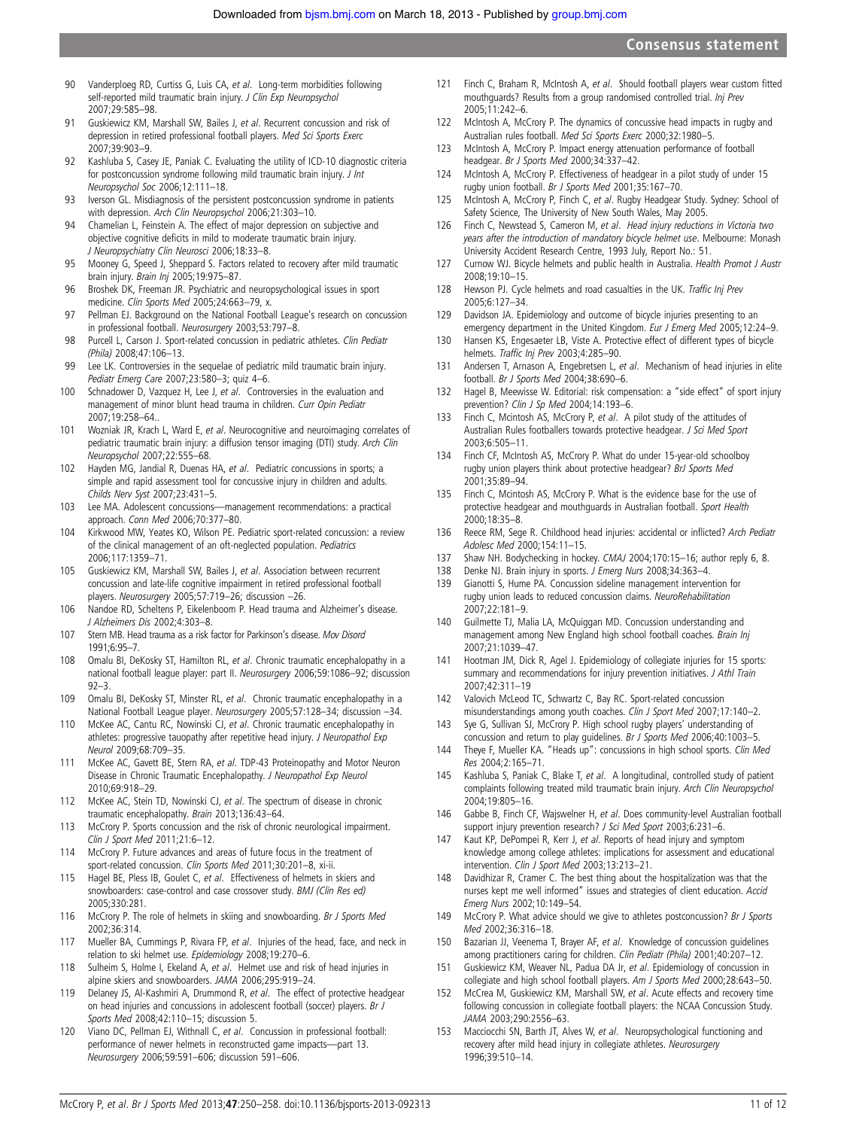- 90 Vanderploeg RD, Curtiss G, Luis CA, et al. Long-term morbidities following self-reported mild traumatic brain injury. J Clin Exp Neuropsychol 2007;29:585–98.
- 91 Guskiewicz KM, Marshall SW, Bailes J, et al. Recurrent concussion and risk of depression in retired professional football players. Med Sci Sports Exerc 2007;39:903–9.
- 92 Kashluba S, Casey JE, Paniak C. Evaluating the utility of ICD-10 diagnostic criteria for postconcussion syndrome following mild traumatic brain injury. J Int Neuropsychol Soc 2006;12:111–18.
- 93 Iverson GL. Misdiagnosis of the persistent postconcussion syndrome in patients with depression. Arch Clin Neuropsychol 2006;21:303–10.
- 94 Chamelian L, Feinstein A. The effect of major depression on subjective and objective cognitive deficits in mild to moderate traumatic brain injury. J Neuropsychiatry Clin Neurosci 2006;18:33–8.
- 95 Mooney G, Speed J, Sheppard S. Factors related to recovery after mild traumatic brain injury. Brain Inj 2005;19:975–87.
- 96 Broshek DK, Freeman JR. Psychiatric and neuropsychological issues in sport medicine. Clin Sports Med 2005;24:663–79, x.
- 97 Pellman EJ. Background on the National Football League's research on concussion in professional football. Neurosurgery 2003;53:797–8.
- 98 Purcell L, Carson J. Sport-related concussion in pediatric athletes. Clin Pediatr (Phila) 2008;47:106–13.
- 99 Lee LK. Controversies in the sequelae of pediatric mild traumatic brain injury. Pediatr Emerg Care 2007;23:580–3; quiz 4–6.
- 100 Schnadower D, Vazquez H, Lee J, et al. Controversies in the evaluation and management of minor blunt head trauma in children. Curr Opin Pediatr 2007;19:258–64..
- 101 Wozniak JR, Krach L, Ward E, et al. Neurocognitive and neuroimaging correlates of pediatric traumatic brain injury: a diffusion tensor imaging (DTI) study. Arch Clin Neuropsychol 2007;22:555–68.
- 102 Hayden MG, Jandial R, Duenas HA, et al. Pediatric concussions in sports; a simple and rapid assessment tool for concussive injury in children and adults. Childs Nerv Syst 2007;23:431–5.
- 103 Lee MA. Adolescent concussions—management recommendations: a practical approach. Conn Med 2006;70:377–80.
- 104 Kirkwood MW, Yeates KO, Wilson PE. Pediatric sport-related concussion: a review of the clinical management of an oft-neglected population. Pediatrics 2006;117:1359–71.
- 105 Guskiewicz KM, Marshall SW, Bailes J, et al. Association between recurrent concussion and late-life cognitive impairment in retired professional football players. Neurosurgery 2005;57:719–26; discussion –26.
- 106 Nandoe RD, Scheltens P, Eikelenboom P. Head trauma and Alzheimer's disease. J Alzheimers Dis 2002;4:303–8.
- 107 Stern MB. Head trauma as a risk factor for Parkinson's disease. Mov Disord 1991;6:95–7.
- 108 Omalu BI, DeKosky ST, Hamilton RL, et al. Chronic traumatic encephalopathy in a national football league player: part II. Neurosurgery 2006;59:1086–92; discussion  $92 - 3$
- 109 Omalu BI, DeKosky ST, Minster RL, et al. Chronic traumatic encephalopathy in a National Football League player. Neurosurgery 2005;57:128–34; discussion –34.
- 110 McKee AC, Cantu RC, Nowinski CJ, et al. Chronic traumatic encephalopathy in athletes: progressive tauopathy after repetitive head injury. J Neuropathol Exp Neurol 2009;68:709–35.
- 111 McKee AC, Gavett BE, Stern RA, et al. TDP-43 Proteinopathy and Motor Neuron Disease in Chronic Traumatic Encephalopathy. J Neuropathol Exp Neurol 2010;69:918–29.
- 112 McKee AC, Stein TD, Nowinski CJ, et al. The spectrum of disease in chronic traumatic encephalopathy. Brain 2013;136:43–64.
- 113 McCrory P. Sports concussion and the risk of chronic neurological impairment. Clin J Sport Med 2011;21:6–12.
- 114 McCrory P. Future advances and areas of future focus in the treatment of sport-related concussion. Clin Sports Med 2011;30:201-8, xi-ii.
- 115 Hagel BE, Pless IB, Goulet C, et al. Effectiveness of helmets in skiers and snowboarders: case-control and case crossover study. BMJ (Clin Res ed) 2005;330:281.
- 116 McCrory P. The role of helmets in skiing and snowboarding. Br J Sports Med 2002;36:314.
- 117 Mueller BA, Cummings P, Rivara FP, et al. Injuries of the head, face, and neck in relation to ski helmet use. Epidemiology 2008;19:270–6.
- 118 Sulheim S, Holme I, Ekeland A, et al. Helmet use and risk of head injuries in alpine skiers and snowboarders. JAMA 2006;295:919–24.
- 119 Delaney JS, Al-Kashmiri A, Drummond R, et al. The effect of protective headgear on head injuries and concussions in adolescent football (soccer) players. Br J Sports Med 2008;42:110–15; discussion 5.
- 120 Viano DC, Pellman EJ, Withnall C, et al. Concussion in professional football: performance of newer helmets in reconstructed game impacts—part 13. Neurosurgery 2006;59:591–606; discussion 591–606.
- 121 Finch C, Braham R, McIntosh A, et al. Should football players wear custom fitted mouthguards? Results from a group randomised controlled trial. Inj Prev 2005;11:242–6.
- 122 McIntosh A, McCrory P. The dynamics of concussive head impacts in rugby and Australian rules football. Med Sci Sports Exerc 2000;32:1980–5.
- 123 McIntosh A, McCrory P. Impact energy attenuation performance of football headgear. Br J Sports Med 2000;34:337-42.
- 124 McIntosh A, McCrory P. Effectiveness of headgear in a pilot study of under 15 rugby union football. Br J Sports Med 2001;35:167–70.
- 125 McIntosh A, McCrory P, Finch C, et al. Rugby Headgear Study. Sydney: School of Safety Science, The University of New South Wales, May 2005.
- 126 Finch C, Newstead S, Cameron M, et al. Head injury reductions in Victoria two years after the introduction of mandatory bicycle helmet use. Melbourne: Monash University Accident Research Centre, 1993 July, Report No.: 51.
- 127 Curnow WJ. Bicycle helmets and public health in Australia. Health Promot J Austr 2008;19:10–15.
- 128 Hewson PJ. Cycle helmets and road casualties in the UK. Traffic Inj Prev 2005;6:127–34.
- 129 Davidson JA. Epidemiology and outcome of bicycle injuries presenting to an emergency department in the United Kingdom. Eur J Emerg Med 2005;12:24–9.
- 130 Hansen KS, Engesaeter LB, Viste A. Protective effect of different types of bicycle helmets. Traffic Inj Prev 2003;4:285-90.
- 131 Andersen T, Arnason A, Engebretsen L, et al. Mechanism of head injuries in elite football. Br J Sports Med 2004;38:690–6.
- 132 Hagel B, Meewisse W. Editorial: risk compensation: a "side effect" of sport injury prevention? Clin J Sp Med 2004;14:193–6.
- 133 Finch C, Mcintosh AS, McCrory P, et al. A pilot study of the attitudes of Australian Rules footballers towards protective headgear. J Sci Med Sport 2003;6:505–11.
- 134 Finch CF, McIntosh AS, McCrory P. What do under 15-year-old schoolboy rugby union players think about protective headgear? BrJ Sports Med 2001;35:89–94.
- 135 Finch C, Mcintosh AS, McCrory P. What is the evidence base for the use of protective headgear and mouthguards in Australian football. Sport Health 2000;18:35–8.
- 136 Reece RM, Sege R. Childhood head injuries: accidental or inflicted? Arch Pediatr Adolesc Med 2000;154:11–15.
- 137 Shaw NH. Bodychecking in hockey. CMAJ 2004;170:15–16; author reply 6, 8.
- 138 Denke NJ. Brain injury in sports. J Emerg Nurs 2008;34:363–4.
- 139 Gianotti S, Hume PA. Concussion sideline management intervention for rugby union leads to reduced concussion claims. NeuroRehabilitation 2007;22:181–9.
- 140 Guilmette TJ, Malia LA, McQuiggan MD. Concussion understanding and management among New England high school football coaches. Brain Inj 2007;21:1039–47.
- 141 Hootman JM, Dick R, Agel J. Epidemiology of collegiate injuries for 15 sports: summary and recommendations for injury prevention initiatives. J Athl Train 2007;42:311–19
- 142 Valovich McLeod TC, Schwartz C, Bay RC. Sport-related concussion misunderstandings among youth coaches. Clin J Sport Med 2007;17:140–2.
- 143 Sye G, Sullivan SJ, McCrory P. High school rugby players' understanding of concussion and return to play guidelines. Br J Sports Med 2006;40:1003–5.
- 144 Theye F, Mueller KA. "Heads up": concussions in high school sports. Clin Med Res 2004;2:165–71.
- 145 Kashluba S, Paniak C, Blake T, et al. A longitudinal, controlled study of patient complaints following treated mild traumatic brain injury. Arch Clin Neuropsychol 2004;19:805–16.
- 146 Gabbe B, Finch CF, Wajswelner H, et al. Does community-level Australian football support injury prevention research? J Sci Med Sport 2003;6:231-6.
- 147 Kaut KP, DePompei R, Kerr J, et al. Reports of head injury and symptom knowledge among college athletes: implications for assessment and educational intervention. Clin J Sport Med 2003;13:213–21.
- 148 Davidhizar R, Cramer C. The best thing about the hospitalization was that the nurses kept me well informed" issues and strategies of client education. Accid Emerg Nurs 2002;10:149–54.
- 149 McCrory P. What advice should we give to athletes postconcussion? Br J Sports Med 2002;36:316–18.
- 150 Bazarian JJ, Veenema T, Brayer AF, et al. Knowledge of concussion guidelines among practitioners caring for children. Clin Pediatr (Phila) 2001;40:207–12.
- 151 Guskiewicz KM, Weaver NL, Padua DA Jr, et al. Epidemiology of concussion in collegiate and high school football players. Am J Sports Med 2000;28:643–50.
- 152 McCrea M, Guskiewicz KM, Marshall SW, et al. Acute effects and recovery time following concussion in collegiate football players: the NCAA Concussion Study. JAMA 2003;290:2556–63.
- 153 Macciocchi SN, Barth JT, Alves W, et al. Neuropsychological functioning and recovery after mild head injury in collegiate athletes. Neurosurgery 1996;39:510–14.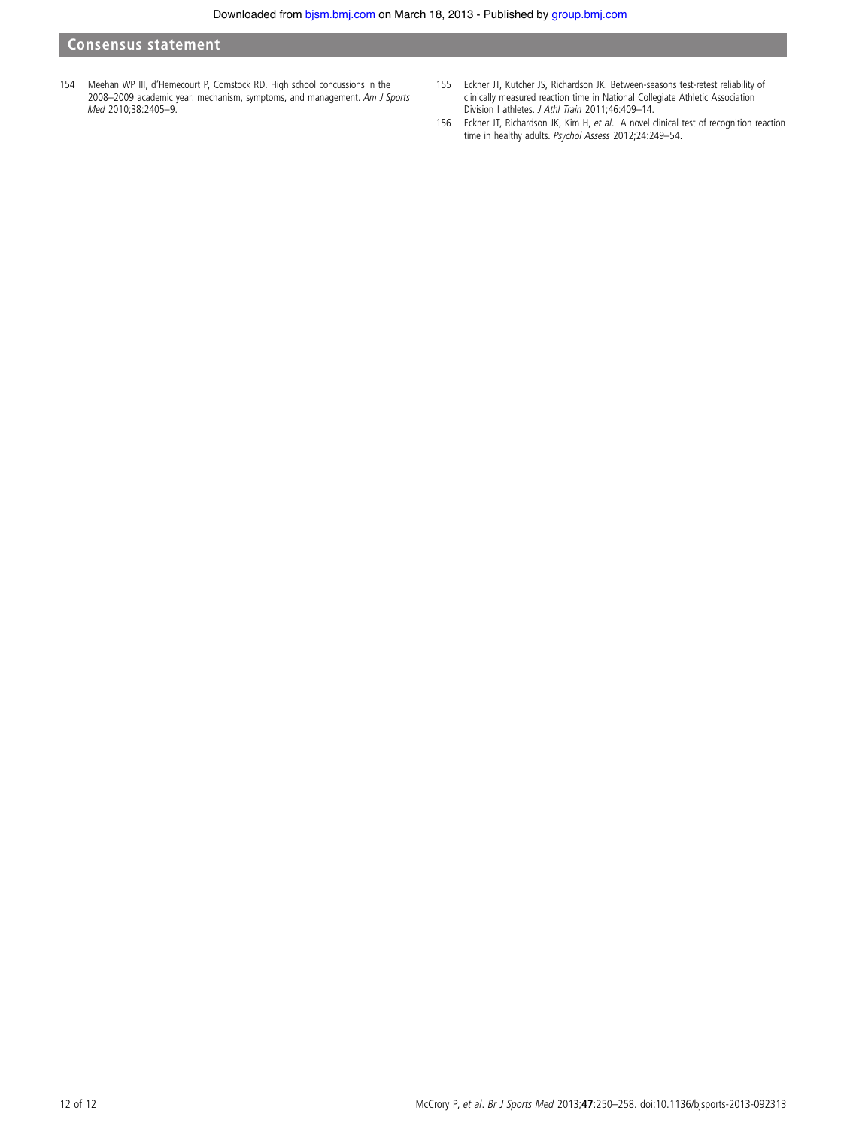- 154 Meehan WP III, d'Hemecourt P, Comstock RD. High school concussions in the 2008-2009 academic year: mechanism, symptoms, and management. Am J Sports Med 2010;38:2405–9.
- 155 Eckner JT, Kutcher JS, Richardson JK. Between-seasons test-retest reliability of clinically measured reaction time in National Collegiate Athletic Association Division I athletes. J Athl Train 2011;46:409–14.
- 156 Eckner JT, Richardson JK, Kim H, et al. A novel clinical test of recognition reaction time in healthy adults. Psychol Assess 2012;24:249–54.